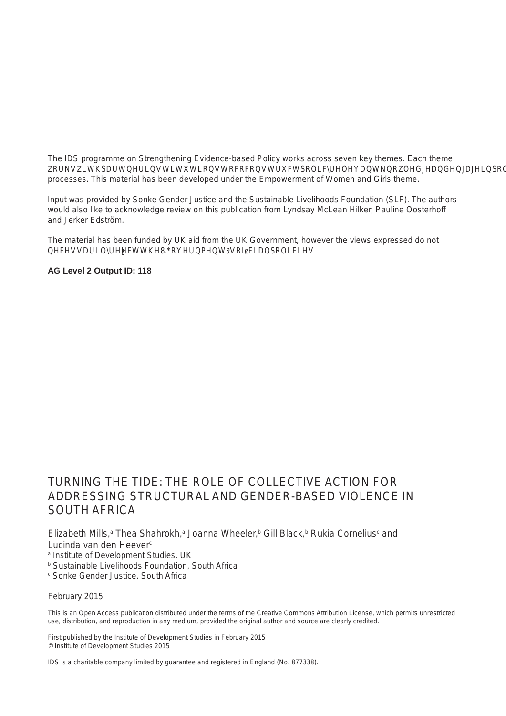## **Contents**

|   | Acknowledgements<br>Partner information<br>Abbreviations<br>Executive summary                                                                                                                                                               |                                                                                                                                                                                                                                                                                                                                                                                              |                                              |  |  |
|---|---------------------------------------------------------------------------------------------------------------------------------------------------------------------------------------------------------------------------------------------|----------------------------------------------------------------------------------------------------------------------------------------------------------------------------------------------------------------------------------------------------------------------------------------------------------------------------------------------------------------------------------------------|----------------------------------------------|--|--|
| 1 | <b>Introduction</b>                                                                                                                                                                                                                         |                                                                                                                                                                                                                                                                                                                                                                                              |                                              |  |  |
| 2 | <b>Conceptual framework</b><br>2.1<br>2.1.1<br>2.1.2<br>2.2<br>2.3                                                                                                                                                                          | Theoretical and policy approaches to SGBV<br>International policy and definitions of SGBV<br>Theoretical approaches to SGBV<br>Structural violence and hegemonic masculinities<br>Collective action and structural change                                                                                                                                                                    | 11<br>11<br>11<br>11<br>12<br>13             |  |  |
| 3 | <b>Research background</b><br>3.1<br>Policy context                                                                                                                                                                                         |                                                                                                                                                                                                                                                                                                                                                                                              | 15<br>16                                     |  |  |
| 4 | <b>Research focus</b>                                                                                                                                                                                                                       |                                                                                                                                                                                                                                                                                                                                                                                              |                                              |  |  |
| 5 | <b>Research methodology</b><br>Research methods<br>5.1<br>5.1.1<br>5.1.2 Key informant interviews<br>Policy engagement<br>5.1.3<br>5.2<br><b>Ethical considerations</b><br>5.3<br>Analytical methodology<br>5.4<br><b>Study limitations</b> | Digital storytelling and power analysis                                                                                                                                                                                                                                                                                                                                                      | 19<br>19<br>19<br>20<br>21<br>21<br>21<br>22 |  |  |
| 6 | <b>Research findings</b><br>6.1<br>Structural inequality and SGBV<br>6.1.1<br>6.1.2<br>6.1.3<br>violence                                                                                                                                    | Legacies of inequality shape contemporary experiences of violence<br>Discriminatory judicial systems and the limits of law enforcement<br>Social norms and institutions that fuel gender inequality and                                                                                                                                                                                      | 23<br>23<br>23<br>24                         |  |  |
|   | 6.2<br>6.2.1<br>6.2.2<br>6.2.3<br>6.2.4<br>6.2.5<br>6.3                                                                                                                                                                                     | Collective action to address SGBV<br>Forms and functions of collective action in communities<br>Building personal power in spaces of safety and belonging<br>Personal agency and empowerment to effect change<br>Networked ways of working for gender justice<br>National advocacy and accountability for gender justice<br>Lessons for and limitations to collective action to address SGBV | 26<br>27<br>28<br>29<br>31<br>31<br>33<br>34 |  |  |
|   | 6.3.1<br>6.3.2                                                                                                                                                                                                                              | Recognising constraints to engaging men for gender justice<br>Funding and resource allocation                                                                                                                                                                                                                                                                                                | 34<br>35                                     |  |  |
| 7 | <b>Discussion</b>                                                                                                                                                                                                                           |                                                                                                                                                                                                                                                                                                                                                                                              |                                              |  |  |
| 8 | <b>Conclusion</b>                                                                                                                                                                                                                           |                                                                                                                                                                                                                                                                                                                                                                                              |                                              |  |  |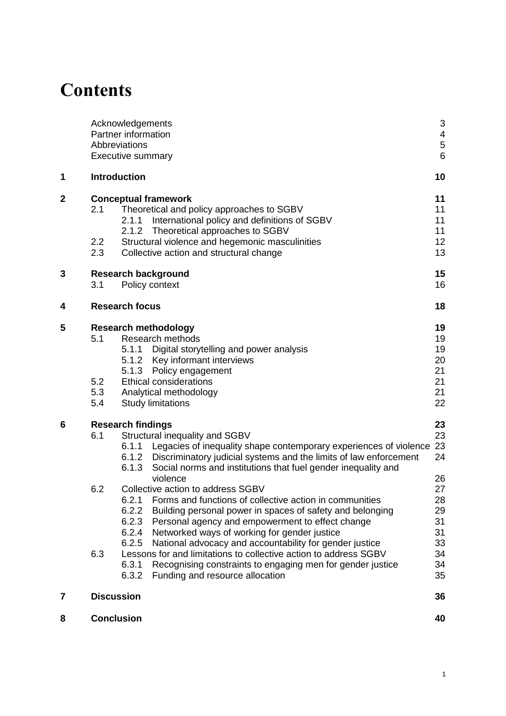| 9                  |                | <b>Policy and practice recommendations</b> |                                                                                  |    |  |
|--------------------|----------------|--------------------------------------------|----------------------------------------------------------------------------------|----|--|
|                    | 9.1            | Citizens' initiatives and social activism  |                                                                                  |    |  |
|                    | 9.2            |                                            | Civil society partnerships<br>Government institutions<br>International community |    |  |
|                    | 9.3            |                                            |                                                                                  |    |  |
|                    | 9.4            |                                            |                                                                                  |    |  |
|                    | <b>Annex 1</b> |                                            | Map of community activists' engagement in the research                           |    |  |
|                    | <b>Annex 2</b> |                                            | Key informant interview schedule                                                 | 45 |  |
| Annex <sub>3</sub> |                |                                            | Participatory and qualitative consent forms                                      |    |  |
|                    | Annex 4        |                                            | <b>Analytical framework</b>                                                      | 49 |  |
|                    |                | <b>References</b>                          |                                                                                  | 51 |  |
|                    |                |                                            |                                                                                  |    |  |

**Boxes**<br>**Box 6.1 [Box 6.1 Vee's story 31](#page-29-0)**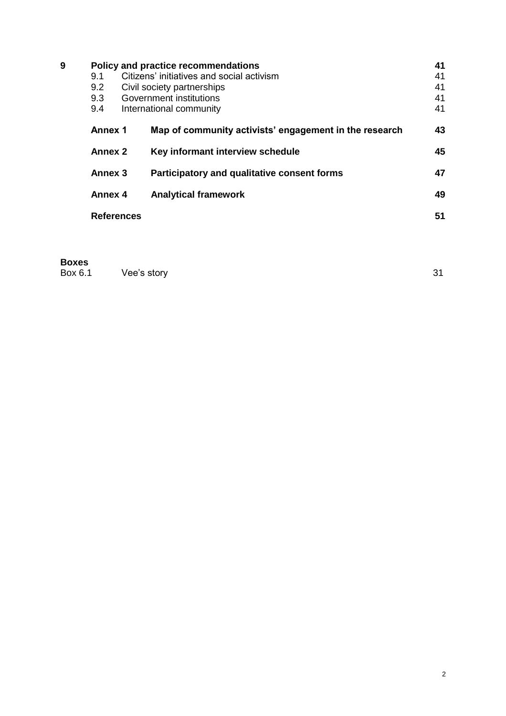## <span id="page-2-0"></span>**Acknowledgements**

The authors would like to acknowledge the resources and energy contributed by the South African organisations involved in this project; without their exceptional levels of commitment over and above the scope of this work it would not have been possible. We would also like to express our deepest appreciation of the 11 community activists for their conviction and for sharing their stories so powerfully and openly. Thank you to the reviewers of this paper for generously giving your time and input: Lyndsay McLean Hilker, Pauline Oosterhoff and Jerker Edström.

Sustainable Livelihoods Foundation (SLF) colleagues provided invaluable research support throughout this process. Bathulile Ntshingila co-facilitated the digital storytelling (DST) and collective power analysis workshops and provided translation support for both. Mzodidi Tutuka co-facilitated the DST workshop and assisted with the translation and subtitling of the stories. Becky Hillier assisted with documentation of the DST and collective power analysis workshops. Cebisa Fubesi provided translation support throughout the DST process. The team at SLF also provided exceptional logistical support during the community engagement processes. Furthermore, colleagues at Sonke Gender Justice worked collaboratively and with great commitment throughout. Keegan Lakay provided support during the facilitation of the community engagement and stakeholder dialogue processes. Rodney Fortuin supported the digital storytelling process and provided excellent guidance and coordination in setting up the research interviews in the Matzikama area.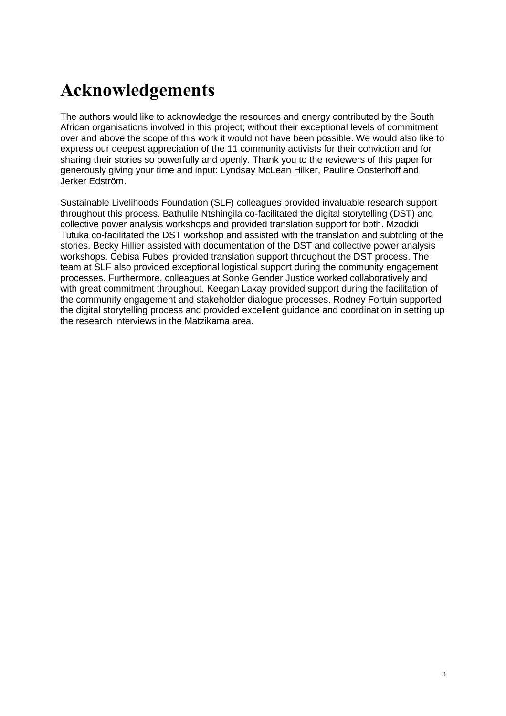## <span id="page-3-0"></span>**Partner information**

#### **Sustainable Livelihoods Foundation**

The [Sustainable Livelihoods Foundation \(SLF\)](http://www.livelihoods.org.za/) is an agency based in Cape Town that seeks to contribute towards eliminating poverty through undertaking original research and engaging with marginalised communities. The organisation aims to advance innovative policies and development interventions in order to strengthen livelihoods within the townships and informal settlements of South Africa. SLF recognises that within these settings, the insecurities facing women and girls reflect widespread vulnerabilities that undermine their capacity to engage in economic activity, affect their citizenship and democratic participation, and constrict their active involvement in the public sphere, including leisure activities.

#### **Sonke Gender Justice**

[Sonke Gender Justice](http://www.genderjustice.org.za/) (Sonke) works to create the change necessary for men and boys, women and children to enjoy equitable, healthy and happy relationships that contribute to the development of just and democratic societies. Sonke pursues this goal by using a human rights framework. Sonke works across Africa to strengthen government, civil society and citizen capacity to promote gender equality, prevent domestic and sexual violence, and reduce the spread and impact of HIV and AIDS. [Sonke utilises the 'spectrum of change'](http://www.genderjustice.org.za/about-us/vision-a-mission/)  [model,](http://www.genderjustice.org.za/about-us/vision-a-mission/) drawing on a broad range of social change strategies that involve working across multiple spaces and levels to achieve gender equality. Sonke works to shape South African and international legal and policy decisions on gender equality, gender-based violence, and sexual and reproductive health and rights (including HIV and AIDS).

#### **Institute of Development Studies**

<span id="page-3-1"></span>The Institute of Development Studies (IDS) is well known for its progressive gender research, knowledge sharing and teaching, and for the central role it has played in the conceptual shift from a 'women in development' to a 'gender and development' focus, as well as for critically bringing sexuality and masculinities into gender theory, research and practice. Originating in feminist thought and practice and seeing the personal as political, IDS' work, and that of the Gender and Sexuality Cluster, is supported by robust yet innovative participatory, reflexive methodologies and approaches to citizenship and power that engage a range of local and global actors from research, policy and civil society in a range of contexts. IDS engages progressive stakeholders and partners across movements, disciplines and domains in the generation of high-quality, ground-breaking research and knowledge that challenges gender and sexuality 'myths' and stereotypes, and contributes to transformative policy, practice and activism.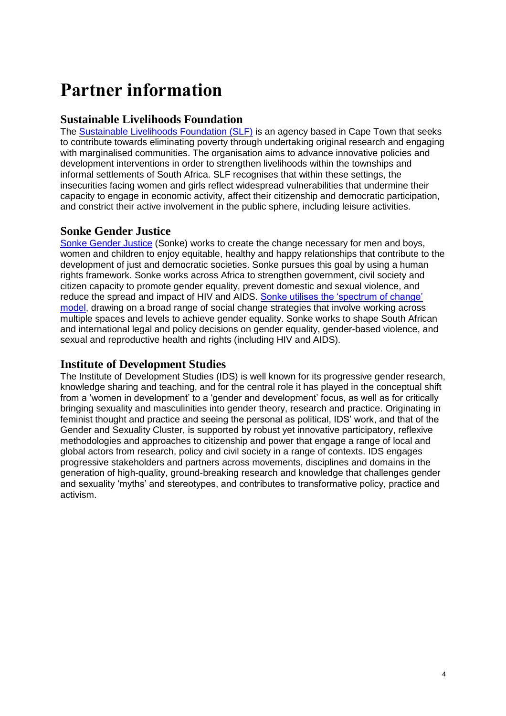## **Abbreviations**

| ANC<br>ARV   | <b>African National Congress</b><br>anti-retroviral                        |
|--------------|----------------------------------------------------------------------------|
| <b>CATs</b>  | Sonke Gender Justice Community Action Teams                                |
| <b>CBOs</b>  | community-based organisations                                              |
| CEDAW        | Convention on the Elimination of All Forms of Discrimination Against Women |
| CSO          | <b>Civil Society Organisation</b>                                          |
| DA           | <b>Democratic Alliance</b>                                                 |
| <b>DEVAW</b> | Declaration on the Elimination of Violence Against Women                   |
| DST          | digital storytelling                                                       |
| EFF          | <b>Economic Freedom Fighters</b>                                           |
| <b>GAA</b>   | Group Areas Act                                                            |
| <b>GDP</b>   | gross domestic product                                                     |
| <b>IDS</b>   | Institute of Development Studies                                           |
| <b>IVEP</b>  | <b>Integrated Victim Empowerment Policy</b>                                |
| <b>KIIs</b>  | key informant interviews                                                   |
| LGBTQI       | lesbian, gay, bisexual, transsexual, queer and intersex                    |
| <b>NCGBV</b> | National Council on Gender-Based Violence                                  |
| <b>NGO</b>   | non-governmental organisation                                              |
| NSP          | National Strategic Plan                                                    |
| <b>OMC</b>   | One Man Can                                                                |
| <b>PRA</b>   | Population Registration Act 1950                                           |
| <b>SANCO</b> | South African National Civic Organisation                                  |
| <b>SGBV</b>  | sexual and gender-based violence                                           |
| <b>SLF</b>   | Sustainable Livelihoods Foundation                                         |
| TCC          | <b>Thuthuzela Care Centres</b>                                             |
| UN           | <b>United Nations</b>                                                      |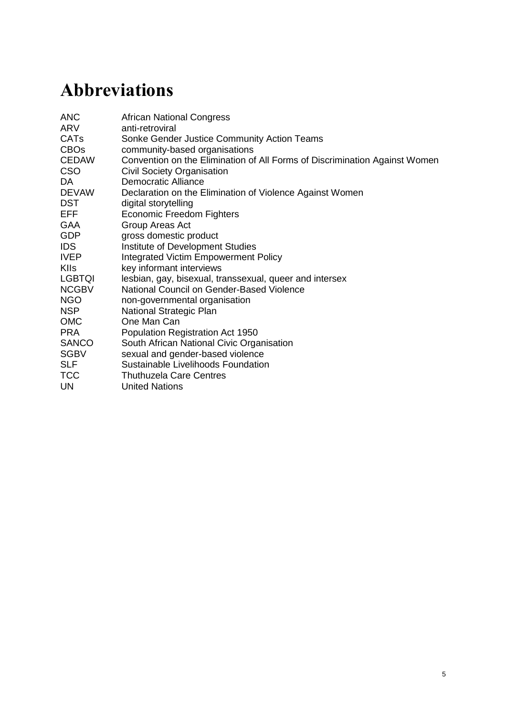## <span id="page-5-0"></span>**Executive summary**

### **Overview**

The case study discussed in this Evidence Report explores the value and limitations of collective action in challenging the community, political, social and economic institutions that reinforce harmful masculinities and gender norms related to sexual and gender-based violence (SGBV). As such, the concept of structural violence is used to locate SGBV in a social, economic and political context that draws histories of entrenched inequalities in South Africa into the present. The research findings reinforce a relational and constructed understanding of gender emphasising that gender norms can be reconfigured and positively transformed. We argue that this transformation can be catalysed through networked and multidimensional strategies of collective action that engage the personal agency of men and women and their interpersonal relationships at multiple levels and across boundaries of social class, race and gender. This collectivity needs to be conscious of and engaged with the structural inequalities that deeply influence trajectories of change. Citizens and civil society must work with the institutions – political, religious, social and economic – that reinforce structural violence in order to ensure their accountability in ending SGBV.

### **Background and rationale**

South Africa, a democratic parliamentary republic since 1994 and formally classed as a middle-income country, has among the highest rates of inequality in the world. Economic inequality and high unemployment relate to legacies of colonialism and apartheid that maintain poverty and marginalisation. It is in the context of socioeconomic inequality that South Africa bears witness to an epidemic of sexual and gender-based violence (SGBV): in the Western Cape, 39 per cent of women have experienced some form of SGBV in their lifetime. South Africa's rate of rape, as a particular form of SGBV, has been found to be one of the highest in the world. The violent punishment of lesbian, gay, bisexual, transgender, queer and intersex (LGBTQI) persons is also of critical concern.

The widespread violation of people's rights, particularly linked to their gender and sexuality, runs alongside an attempt in policy to respond to SGBV; South Africa has implemented a raft of progressive and comprehensive laws, policies and support systems. Looking to the implementation of policy, several integrated approaches exist that involve both government and civil society in dealing with the prevalence of SGBV at national and provincial levels. Despite these efforts legal responsibilities on SGBV are not adequately met. In response, civil society has called for an effective National Strategic Plan (NSP) on gender-based violence. South Africa's experience with HIV has shown that an NSP can be an important tool to gain the political commitment and funding required for a multisectoral response to address large social challenges.

The Evidence Report draws on the notion of structural violence to bring into perspective a long and deep history in which violence was closely tied into a particular order in which gender, race, class and sexuality were normatively constructed and enforced. Within these constructions harmful interpretations of masculinity are recognised as endorsing the use of violence as a gendered practice. An aim of this study, and one of the major challenges in post-apartheid South Africa, is identifying those actors and institutions responsible for the proliferation of these historic forms of structural violence in their contemporary form as SGBV. In turn, the case study aims to understand some of the ways that people are working collectively, to challenge these inequalities and forms of violence through their interpersonal relationships and collective and political action.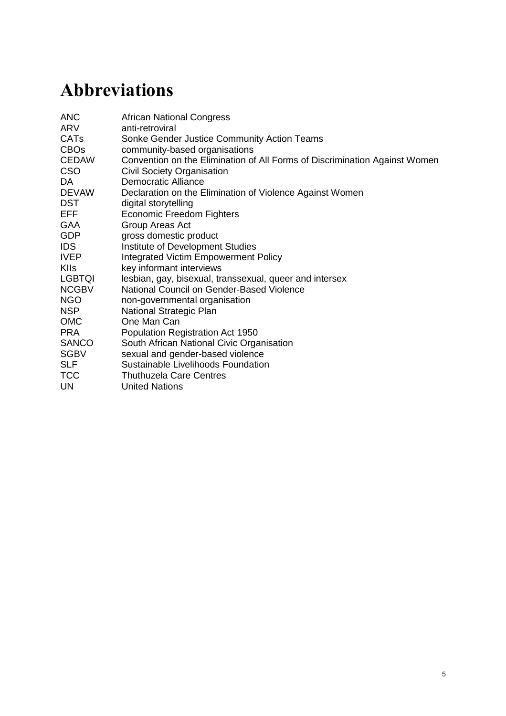In this research, we explored the intersection between politics and power, social norms, and networks of actors to try and understand how transformative social change to end SGBV can be achieved. The research questions for this study are twofold:

- 1. What are the perceived structural factors (social, political, economic) that contribute to people's experiences of SGBV?
- 2. How (i) does the individual agency of men and women, and (ii) do collective political actions (public, institutional, etc) interact to engage certain kinds of processes that aim to prevent and address SGBV?

Overall, the study was conducted with the aim of providing insight into how citizens and civil society organisations find meaningful ways to engage with each other, and with the government, to challenge oppressive social norms and structures and to build transformative strategies to end SGBV.

## **Methodology**

This study used a multi-layered research methodology in order to generate policy-relevant research that was empirically grounded and action-oriented. The participants of this research study were diverse actors engaged in the issue of addressing SGBV in the Cape Town metropolitan area, and the Matzikama municipality of rural Western Cape. The methods themselves were established to ensure that the research process was responsive to emerging policy dynamics linked to the development of an NSP on gender-based violence. Furthermore, we formulated the study with the aim that it would be empirically grounded and ethically accountable to those people with whom we worked and who are addressing SGBV in their everyday realities. This was achieved through the use of dialogic and open-ended research instruments that supported participants to shape the direction of the research from the outset. An inductive and comparative approach to analysis, based on grounded theory, allowed the research material to be developed into findings through an iterative and consultative process. The research was conducted July–November 2014. The findings are based on three interlinked strands of research: digital storytelling and collective analysis with 11 participants identified as community activists; qualitative research, through key informant interviews with 26 stakeholders dealing with SGBV; and policy engagement through a [stakeholder dialogue event](https://www.ids.ac.uk/publication/coming-together-to-end-gender-violence-report-of-deliberative-engagements-with-stakeholders-on-the-issue-of-collective-action-to-address-sexual-and-gender-based-violence-and-the-role-of-men-and-boys-october-2014-cape-town-south-afri) with 35 participants.

### **Findings and discussion**

South Africa's past is perhaps at its most harmful, and most visible, in the legacy of violence that its citizens continue to embody in their everyday lives. It is therefore impossible and even dangerous to de-link SGBV, as a very specific form of violence, from the broader dynamics of socioeconomic inequality that still characterises the lives of the people involved in this study. The first section of our findings describes how the persistence of this inequality was inscribed into the very spaces – townships, homes, bodies – in which most of the participants lived. This inequality, and the multiple forms of violence they experienced as a result, was articulated in particular by the community activists with whom we worked. The participants detailed the extent to which racial inequalities embedded in South Africa's history, emerged in the present, for example in the form of ongoing economic struggle. A particular set of normative gender roles were articulated, in relation to these structural dynamics. Migration, for instance, was expressed as an action taken by men in order to earn money to support their families.

The study findings also make visible the role of formal institutions and leaders in failing to address, or sometimes in maintaining, structural inequalities that underpin SGBV. These institutions include political institutions, such as government departments and the judicial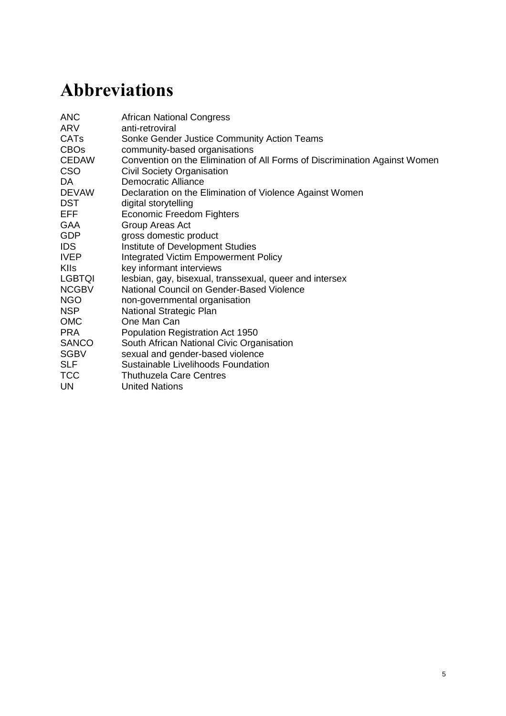system, as well as religious institutions and leaders. Participants explained that without providing clear leadership on gender justice, and without transforming government departments to better respond to SGBV, the government would continue to fail in its attempt to promote gender equality. Political institutions, particularly those related to law enforcement, were also described in the study as negligent or ill-equipped to deal with the needs of people experiencing SGBV. The participants in the study described, too, how religious leaders used their power to sanction heteronormative relationships and sexist characterisations of men and women's 'roles'.

The findings demonstrate that gender transformative collective action can provide an opportunity for different actors and organisations to work together across social issues towards change, bringing alliances and partnerships between people and across organisations. The strategies for change outlined within this case study are framed as gender transformative approaches, because they seek to change gender roles and create more respectful and egalitarian relationships. These initiatives emphasise the full participation of men, whose role is seen as essential in the transformative process. Further, community-led initiatives that work at the personal and political level providing support structures and spaces to engage diverse stakeholders have the potential to transform attitudes, behaviours and mechanisms that support male dominance and power. Collaborations between organisations and institutions can enable coordination across interventions engaging different ecological levels and addressing the multiple intersecting influences to reduce and prevent violence.

Pragmatic limitations to collective action, and to social transformation, were also raised through the case study and relate, specifically, to a lack of funding for those organisations working to provide resources to people affected by SGBV. Most often, it was those same organisations that did not have funding, who were doing the work of government departments in providing support to survivors of SGBV. The work of civil society organisations has not only been to provide this basic support, but in South Africa, it has also historically been to call on the government to be accountable to and take greater responsibility for the wellbeing of its citizens.

## **Policy and practice recommendations**

### **Citizens' initiatives and social activism**

- It is important to recognise informal ways of collective action in people's lived realities. Continued work is needed with communities to understand their innovations in addressing gender inequalities and to mobilise this knowledge into policymaking.
- Collective action (informal and formal) does not necessarily translate into a 'gender transformative' collective or movement; citizens and affiliated organisations need to invest in the work of gender equality. In doing so the political power dynamics of challenging patriarchal privilege must be recognised.
- Working with citizens to develop and share practical legal knowledge about their rights, and avenues for recourse and resources on SGBV is crucial to enable them to shape and hold accountable the policies and programmes that affect their lives.
- Sustainability of collective action in ending SGBV at the community level is important; more understanding is needed on what drives citizen action, enables ownership of the process of change, and the resources needed to support this.
- A focus on mobilisation has highlighted the significance of engaging with men and women in positions of power and holding them to account in their responsibilities for working to end SGBV; as power holders in these contexts, men have an important role to play in holding each other accountable on gender equality.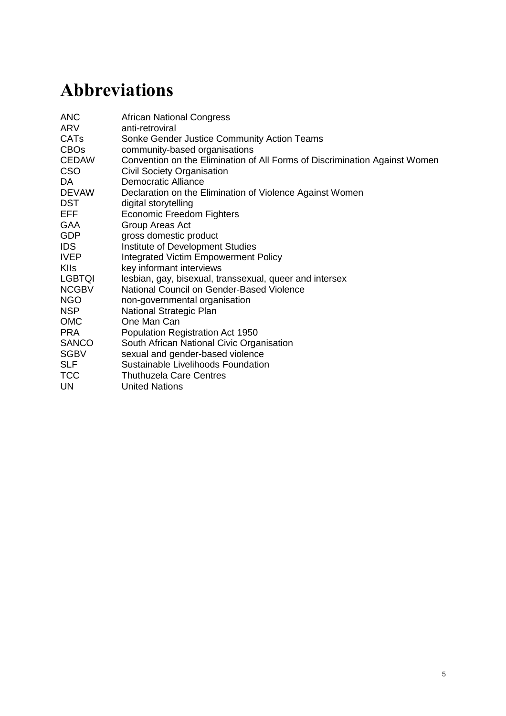### **Civil society partnerships**

- Partnerships across social movements working for gender equality engaging men, women, LGBTQI persons – are important for accountability within movements. Furthermore, these relationships can enable collaborative learning on gender issues and help ensure a collective response to SGBV that promotes social justice for all.
- A clear vision and purpose needs to be built for gender transformative collective action. Where this reflects a partnership between state, social actors and citizens, then possibilities of accountability and work to enable citizen action and rights claims at the local level will be strengthened.
- Civil society needs to develop clearer strategies and policies for mediating and linking across actors to strengthen networked ways of working to address SGBV across multiple levels and social and political spaces.

### **Government institutions**

- Recognising citizens and civil society organisations as effective partners in ending SGBV, working collaboratively to support policy reform on the issue of SGBV, and importantly in enabling effective implementation.
- Political decision-makers and champions are critical for driving institutional change. Entrenched patriarchy in political and religious institutions needs to be challenged in order for these institutions to more effectively address the root causes of SGBV.
- Multi-sectoral consultations and citizen participation are required to develop and implement a fully-costed and funded National Strategic Plan to end SGBV that aims to fill the existing gaps in: laws and policies, services for survivors of SGBV, funding for strategies that prevent violence, and oversight and impact mechanisms.
- The government needs to make information on SGBV funding more transparent (including funding criteria, recipients and budgets). Ideally, this information should also be made available retrospectively, for organisations to be in a better position to lobby national and international donors for funding.

#### **International community**

- International donor agencies must meaningfully engage in learning from specific country contexts, to develop agendas on SGBV that can be sensitively, and effectively, implemented.
- The international community can play a role in 'the collective', as part of a global alliance that supports and enables national-level, contextualised responses to SGBV.
- Using the effective work being done by collective actors at local and national levels to contribute to the global dialogue and frameworks on ending SGBV.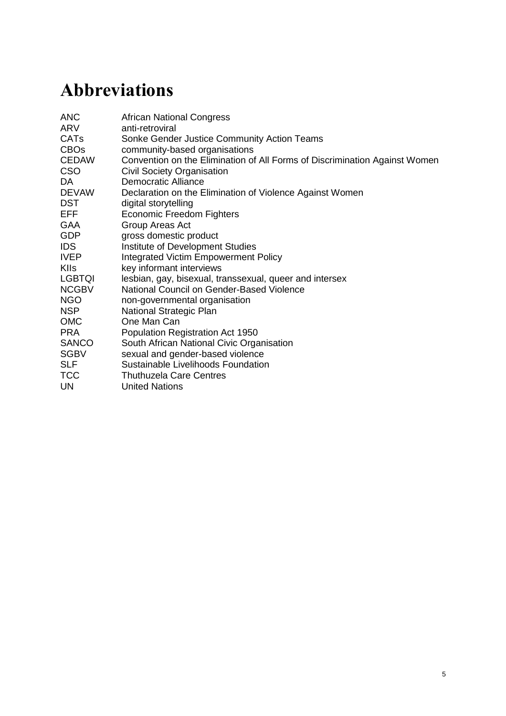## <span id="page-9-0"></span>**1 Introduction**

South Africa, well known for its progressive constitution and robust democratic politics, has the unenviable reputation of being one of the most violent countries, and one of the most highly unequal places for people to live in the world (Beinart 2001; Fassin 2007; Mlatsheni and Leibbrandt 2011; Seekings and Nattrass 2005). This is particularly true for those people who do not conform to highly patriarchal gender and sexual norms (Lewin, Williams and Thomas 2013), and who, as a result, experience violence in multiple and intersecting ways. These intersecting forms of violence are rooted in subtle, and often invisible, structures that reach back to colonialism, continued under apartheid, and have persisted more recently in the forms of inequality that continue to characterise life and constrain wellbeing in postapartheid South Africa. In this Evidence Report, we refer to these influences as forms of structural violence; and we seek through this case study to make them more visible. We suggest that it is important not to focus only on the manifestations of SGBV; it is essential to understand the structural causes of the intersecting inequalities that fuel it. Through this case study we have sought to look critically at, first, the dynamics of structural violence and, second, the positive potential and limits of collective action to address violence together with the government. We have taken this approach in the case study, on which this report is based, in order to make visible to a wider range of actors the extent to which all South Africans, of all gender identities, navigate a precarious present that remains powerfully shaped by a politically violent past.

<span id="page-9-1"></span>The study is based on research conducted in Cape Town and the Matzikama area of the Western Cape, South Africa, between July and November 2014. Using a range of research methods, including digital storytelling, collective power analysis, stakeholder mapping and key informant interviews, the research findings from the case study iterated the importance of understanding how SGBV emerges against a backdrop of entrenched socioeconomic inequalities. In doing so, the case study explored the capacity and limits of community action to (re)build equitable interpersonal relationships and social networks in order to challenge socioeconomic inequality and the violence that stems from it. The research findings indicate that collective action in this context, although powerful at an interpersonal, family and community level, must be understood in light of structural inequalities, constructions of harmful masculinities, and hegemonic power inequalities that influence these trajectories of change.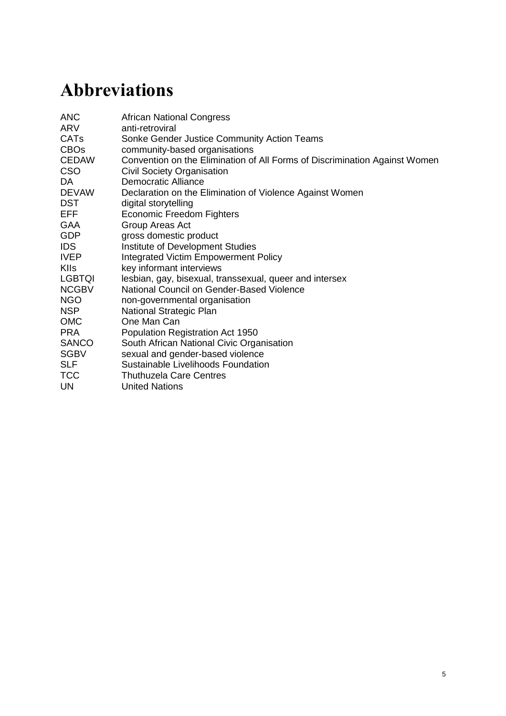## **2 Conceptual framework**

## <span id="page-10-0"></span>**2.1 Theoretical and policy approaches to SGBV**

### <span id="page-10-1"></span>**2.1.1 International policy and definitions of SGBV**

While there are many forms of SGBV, and corresponding ways of writing about them, analysts have identified three broad approaches to SGBV that map onto the evolution in theory and policy on violence against women, and gender violence more broadly (Bowman 2002; Sokoloff and Dupont 2005; Strebel *et al*. 2006; Yodanis 2004). The first, and most common, approach used by policymakers reflects the United Nation's (UN's) 1993 Declaration on the Elimination of Violence Against Women (DEVAW). DEVAW was strongly influenced by the UN Convention on the Elimination of All Forms of Discrimination Against Women (CEDAW), and the definition of violence against women in its General Recommendation 19 (GR 19). This definition presents SGBV as primarily men's violence against women and girls, and situates violence in three interlinked spheres: in the family; in the community; by the state. Both CEDAW GR 19 and DEVAW emphasise that violence against women is a manifestation of unequal power relations between men and women. Importantly, they also closed a gap in international law: by explicitly denoting the above public spheres in which violence takes place, the definitions framed gender violence as a human rights violation (Watts, Osam and Win 1995).<sup>1</sup>

The emerging fields of masculinity and sexuality catalysed a second approach, primarily defining SGBV as violence used by men against women, against some males, and inclusive of sexual violence against children (Hunnicutt 2009). This approach recognises homophobic violence as a form of SGBV, and that SGBV is used to oppress some men, alongside women and girls, as a policing mechanism to enforce gender roles, norms and hierarchies (Coughtry 2011; Eves 2010). The third approach to SGBV, which builds on the previous two, is the one we use in this study: it refers to violence directed at an individual irrespective of age, including men and transgender persons or women, and is any form of violence used to assert and reproduce gender roles and norms (Benjamin and Murchison 2004).

### <span id="page-10-2"></span>**2.1.2 Theoretical approaches to SGBV**

This section outlines four overarching theoretical approaches to gender violence, and indicates their relative contributions and limitations for the purpose of this particular study.

The first constellation of approaches locates the problem of violence with the individual, and with men's psychopathology and biology in particular, thus situating the responsibility on men (to stop) and on women (to leave) (Abrahams *et al.* 2009; Holtzworth-Munroe and Stuart 1994; Walker 1993). These approaches, even when developed as feminist explanations, have been discredited as reductionist and open to misuse, as they fail to take into account the social and economic contexts that contribute to the prevalence of violence (Bowman and Schneider 1998; Hooks 2000). The second approach centres on family systems as the social locus in which violence takes place and in which violence can be addressed; 'dysfunctional families' or 'dysfunctional relationships' are identified within this system, and the possibility for change also rests with the individual and the relationship (Kimmel 2002). Theorists using this approach have been criticised for failing to account for the role of gendered norms and

 $\overline{\phantom{a}}$ <sup>1</sup> Prior to this, human rights law did not cover gender violence as it excluded the so-called 'private sphere' in which forms of gender violence, like domestic violence, took place.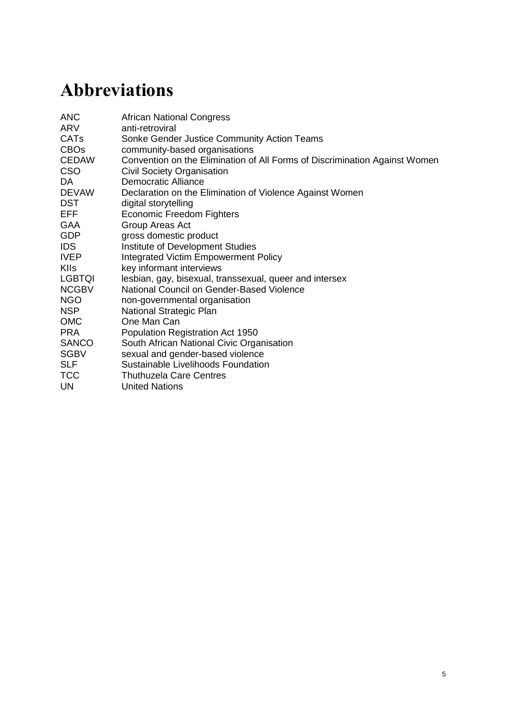how underlying structures reinforce patriarchal dominance in these relationships and systems (Bograd 1999; Sokoloff and Dupont 2005).

Third, structuralist theories depart from individualist approaches to SGBV, and locate violence – and therefore the potential for change – in social, political, economic and cultural structures. This theoretical approach proposes that violence is not a private matter, but a public issue that draws in state and community institutions that privilege certain gender norms over others (Bowman and Schneider 1998). The social ecology model of social change (Heise 1998) is a feature of the structuralist theoretical approach, and it argues that SGBV takes place and interacts across four levels: the individual (including their personal history); the micro-system (the immediate context in which violence takes place); the exosystem (institutions and social structures); and the macro-system (the general views and attitudes shared by members of a society or culture) (Heise 1998; Minayo 1994; Oetzel and Duran 2004). Social ecology approaches to violence have been critiqued for failing to look across the four levels at how they may be interlinked, and for the absence of a critical integration of political, economic and social systems that either contribute to, or should address, the prevalence of violence. These critiques have emerged from studies in South Africa (Africa 2010; Jewkes, Levin and Penn-Kekana 2002), in particular, and echo the fourth main set of theories that reflect post-colonial and post-structuralist approaches to violence.

With respect to the latter, theorists such as Butler (2009, 2004) and Bourdieu (2001) challenge the notion that the reality – of gender, of individuals, families and societies – is an empirical given, instead capturing the complex interplay of individual and structural dynamics. The possibilities available to individuals for enacting change, and the constraints they face, are recognised in these approaches – and in the case of this report – through people's interpersonal and political relationships in relation to the unequal institutional structures that perpetuate violence linked to race, class, gender and sexuality. This links to post-colonial critiques, particularly by African feminists, who argue the need to account for violently unequal economic and social systems – like colonialism, apartheid and globalisation – and their role in entrenching intersecting forms of violence linked to class, race, gender, sexuality, age, location, and so forth (Africa 2010; Cornwall, Harrison and Whitehead 2007; Hansen and Stepputat 2009; Jones 2011; McFadden 2000).

This study draws on the theoretical approach of post-structuralism insofar as it acknowledges the relational and constructed nature of gender, and the extent to which gender dynamics can be reconfigured and positively transformed through interpersonal relationships and individual and collective action. It also recognises, however, that the onus cannot solely lie on individuals, or on men, to change gender and sexual norms and their violent manifestation as gender and sexual violence. To this end, the report draws on the notion of structural violence to bring into perspective a long and deep history in which violence was closely tied into a particular order in which gender, race, class and sexuality were normatively constructed, and through which any deviation from these constructive prescriptions of 'correct behaviour' were punished. One of the challenges in post-apartheid South Africa lies in identifying those actors and institutions responsible for the proliferation of these historic forms of structural violence.

### <span id="page-11-0"></span>**2.2 Structural violence and hegemonic masculinities**

Economic inequality and its impact on poverty and unemployment is one of the most significant and persistent forms of structural violence. Economic inequality in people's everyday lives is made even more complex as it is tethered to the country's longer social, political and economic history. The term, structural violence, was first coined in the 1960s by Galtung (1969), a liberation theologian, to capture this dynamic. Paul Farmer describes the concept here: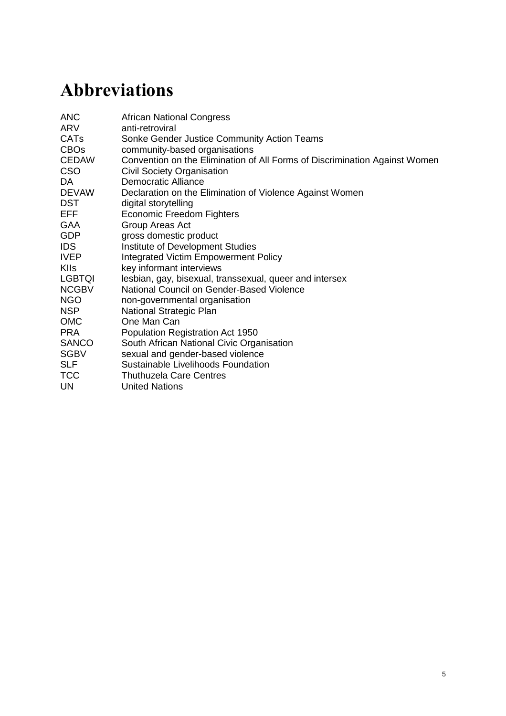Structural violence is one way of describing social arrangements that put individuals and populations in harm's way… The arrangements are structural because they are embedded in the political and economic organization of our social world; they are violent because they cause injury to people… neither culture nor pure individual will is at fault; rather, historically given (and often economically driven) processes and forces conspire to constrain individual agency. Structural violence is visited upon all those whose social status denies them access to the fruits of scientific and social progress.

(Farmer 2001: n.p.)

Structural violence in South Africa, shaped through apartheid and colonialism, constructed economic and racial hierarchies through discriminatory education, health and employment sectors that privileged white people over all other race groups (Mlatsheni and Leibbrandt 2011; Rankin and Roberts 2011).<sup>2</sup> In this report, we use structural violence as a key concept because it locates the presence of violence – as experienced by individuals, families and societies – in this social, economic and political context. Harmful masculinities and gender norms that drive SGBV are understood as socially constructed and as such vary across historical and local contexts. We use this concept in order to make the case, through this report, that the potential for change lies in people coming together through their political activism and collective action to challenge the community, political, social and economic institutions that reinforce dangerous forms of masculinity, and unequal power relationships.

### <span id="page-12-0"></span>**2.3 Collective action and structural change**

The interaction between people's personal experiences, motivations and actions and their collective engagement is an important element in understanding how and why people work with others towards positive social change. As Lister (1997) articulates, human agency embedded in social relations is related to consciousness:

To act as a citizen requires first a sense of agency, the belief that one can act; acting as a citizen, especially collectively, in turn fosters that sense of agency. Thus agency is not simply about the capacity to choose and act but also about a conscious capacity which is important to the individual's self-identity. (Lister 1997: 38)

This study therefore reflects the importance of understanding the interplay between personal and collective relationships and how these expressions of citizenship are mediated by structural forms of violence, and the limitations linked to them, as they intersect with gender, class, race, (dis)ability, age and also space/location.

Looking out from the personal and community level to collective action for national policy change, Htun and Weldon's (2012) analysis of policies on violence against women in 70 countries over a 30-year period finds that the activism of feminist movements plays a more important role in policy change than left-wing parties, numbers of women legislators or national wealth. They explain that national and international women's movements have played an important role in highlighting the gap between ratification of and compliance with global treaties, and have amplified the possibilities of implementation at the national level through advocacy efforts to change discriminatory laws, and by training institutional actors and the judiciary on rights and accountability.

 $\overline{a}$ <sup>2</sup> The Institute for Justice and Reconciliation, for instance, recently released its Reconciliation Barometer based on longitudinal data in which trends in South Africans' views on race, class and politics are measured. Looking at ten years of data, the Barometer shows a steep decline in a willingness to live in a unified South Africa; this was most notably linked to a decline in a desire to socialise across race groups. The 2014 report highlights, then, the importance of keeping race in perspective alongside other intersections of inequality, as it continues to feature strongly in South African lives, albeit in very different ways (IJR 2014).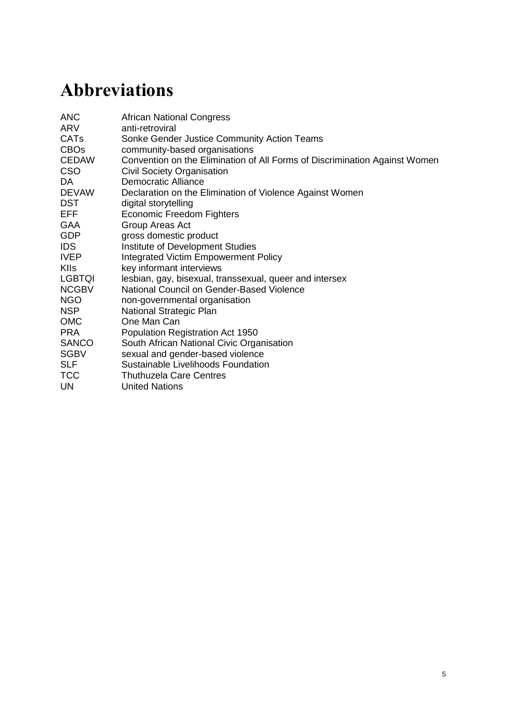Transformative strategies are contentious in nature, they include dynamics of power and interests across the diverse actors involved, and are therefore non-linear. These strategies engage a form of political accountability for gender equality that sees collective action as catalysing change between and across levels to ensure effective and transformative interventions. It is this non-linearity, and open-ended conceptualisation of change that we will engage in this case study. Specifically, in our research, we looked at the intersection between politics and power, societal norms and discourse, and networks of actors to try to understand more deeply how collectivity can achieve meaningful impact in people's lives (Keeley and Scoones 2003; Wolmer 2006).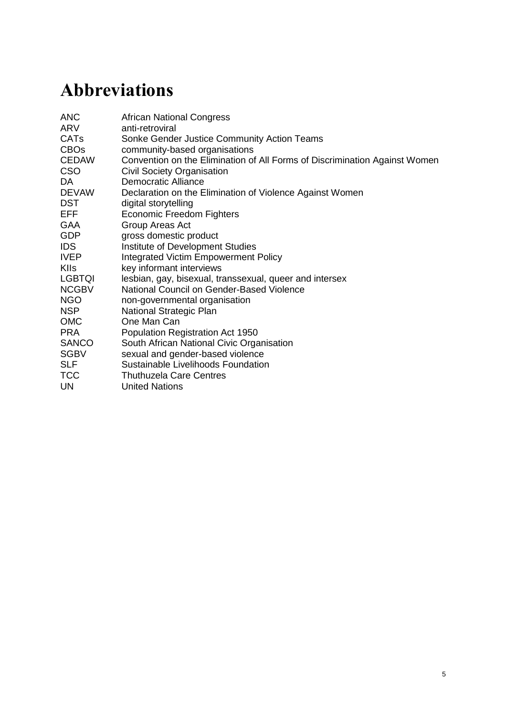## <span id="page-14-0"></span>**3 Research background**

South Africa, a democratic parliamentary republic since 1994, is home to approximately 54 million residents (Statistics South Africa 2014a). In the most recent elections, held on 7 May 2014, voters again elected the African National Congress (ANC) into power with 62.2 per cent of the vote; the main opposition, the Democratic Alliance (DA), won 22.2 per cent of the vote. A very new political party, the Economic Freedom Fighters (EFF), made significant inroads into South Africa's governance landscape, winning 6.4 per cent of the vote. The real impact of the EFF's entry into South Africa's political configuration still remains to be seen, but the premise on which they ran for government – that of economic equality and freedom – speaks strongly to the increasingly visible anger among citizens struggling for meaningful social and economic justice. Women constitute almost half of South Africa's population, and this is represented in parliament, with women making up 42 per cent of its representatives (compared to 2.7 per cent before 1994) (GCIS n.d.). In the first and second parliaments (1994–2004), a raft of legislation to promote gender equality was passed, including legislation on domestic violence, employment equity and marriage.

While South Africa is formally classed as a middle-income country, its rates of inequality are among the highest in the world – reflected in the disparity between its rankings for total and per capita gross domestic product (GDP)<sup>3</sup> and Gini coefficient measurement (65) which is in the top ten globally (World Bank 2011). South Africa's unemployment rate among those aged 15–65 years is 25.4 per cent, as measured in the third quarter of 2014 (Statistics South Africa 2014b); almost half of those in the labour force cohort aged 15–24 years were found to be unemployed (Rankin and Roberts 2011). Despite the introduction of progressive legislation on gender equality, the reality of socioeconomic inequality is deeply gendered (ILO 2012; World Economic Forum 2013).<sup>4</sup> Consistently, between 2008 and 2013, 27 per cent of women in South Africa were unemployed, compared with 23 per cent of men in 2013 (Statistics South Africa 2013). These different forms of inequality were also confirmed in the  $2013$  World Gender Gap Index, where South Africa ranked  $8<sup>th</sup>$  in the world (out of 136 countries) in the political empowerment ranking, but  $78<sup>th</sup>$  and  $102<sup>nd</sup>$  in the economic participation and opportunity ranking, and in the health and survival ranking respectively.

Spatial injustice is a further inequality that cuts across South Africa's cities and towns. During apartheid, residential segregation along racial lines was enforced through legislation and urban planning. The 1950 Population Registration Act (PRA), legally classified every South African as one of three 'racial types' – White, Coloured, and Black – in order to exert control and power along racial lines. This influenced the Group Areas Act (GAA), an urban planning tool that sought to eradicate racial residential mixing by segmenting cities into racially exclusive suburbs (Beinart 2001, 1995; Parry and van Eaden 2014; Wolpe 1972). <sup>5</sup> The Cape Flats is a region of metropolitan Cape Town that holds a large proportion of this historically displaced population.

The Cape Flats area is located approximately 15–20km south east of the central business district, spanning 50km of flat, low-lying terrain. In 2008, there were an estimated 220 informal settlements housing some 150,000 shacks, or over 500,000 people. With the rise in migration alongside the rise in unemployment, peri-urban areas are extending onto former rubble dumps (such as Sweet Home Farm in Philippi) and wetlands (such as

 $\overline{a}$ 

<sup>3</sup> www.oecd.org/fr/afriquedusud/economicassessmentofsouthafrica2008achievingacceleratedandsharedgrowth forsouthafrica.htm (accessed December 2014).

<sup>4</sup> For full information on world rankings, the full report is available at

[www3.weforum.org/docs/WEF\\_GenderGap\\_Report\\_2013.pdf](http://www3.weforum.org/docs/WEF_GenderGap_Report_2013.pdf) (accessed 26 January 2015).

<sup>&</sup>lt;sup>5</sup> The 2012 National Development Plan 2030, in specifying its overarching principles for the spatial development of South African settlements, outlines the principle of spatial justice, that apartheid's policy of confining particular groups to limited spaces must be reversed (South Africa 2012: 227).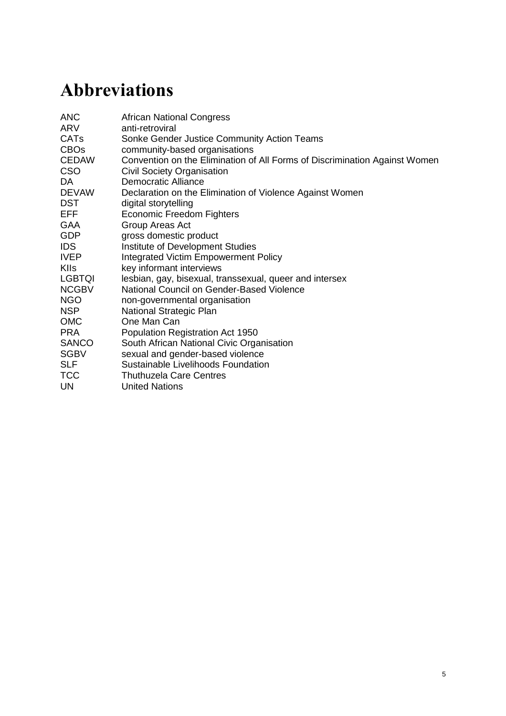Masiphumelele), limiting protection from extreme environmental conditions, resulting in flooding and structural damage (City of Cape Town 2008). Unemployment rates in the residential areas of Nyanga, Philippi, Khayelitsha, Guguletu and Delft, which are located within the Cape Flats, range from 38 per cent to 46 per cent; this is much higher than the above-mentioned national average of 25.4 per cent. These suburbs are predominantly populated by Black African persons, with Delft populated by 52 per cent Coloured persons and 46 per cent Black Africans (City of Cape Town 2011).<sup>6</sup>

It is in the context of profound socioeconomic inequality, described above, that South Africa bears witness to an ever-escalating epidemic of sexual and gender violence. Suspected rape homicides reported for non-intimate murders have increased from 13.4 per cent in 1999 to 28.5 per cent in 2009 (*p*<0·001) (Abrahams *et al.* 2009). Research in the Western Cape found that 39 per cent of women experienced some form of gender-based violence, and the same (39 per cent) proportion of men had perpetuated gendered violence in their lifetime (GenderLinks 2014). The rate of female homicide per 100,000 is five times the global average at 12.9 per cent (Abrahams *et al*. 2009); this is compared to 2006 statistics that show 0.2 per cent in England and Wales, and 0.3 per cent in Argentina (Abrahams *et al*. 2009; Esplugues *et al*. 2006), highlighting the urgency for policy-driven prevention.

South Africa's rate of rape, as a particular form of sexual and gender-based violence, has been found to be one of the highest in the world: in a cross-sectional study in three South African districts in the Eastern Cape and Kwa-Zulu Natal, for instance, researchers found that 27.6 per cent of all men had raped a woman or girl, and of all the men who were interviewed, almost half (42.4 per cent) had been physically violent to an intimate partner (Jewkes *et al*. 2009). Population-based research with adult men in South Africa has found, too, that 9.6 per cent of men reported an experience of male-on-male sexual violence and 3 per cent reported perpetration (Dunkle *et al*. 2013). These statistics are based on reported incidents, and of those incidents reported, a small fraction led to convictions. In 2012, 66,196 rapes were officially reported, and investigations led to a paltry 4,500 convictions. A 2013 study by Jewkes suggests that reported incidents of SGBV are so low because of the relatively low conviction rates; this in turn leads to a significant under-estimation of the prevalence and incidence of SGBV.

The violent punishment of people who transgress heteronormative gender roles and identities is also of critical concern in South Africa. For LGBTQI persons this translates into the very real experience of homophobic violence including homicide and rape as a form of persecution (Lewin *et al.* 2013; Wells and Polders 2006).

### <span id="page-15-0"></span>**3.1 Policy context**

 $\overline{a}$ 

The conspicuous and widespread violation of men and women's rights, particularly linked to their gender and sexuality, runs alongside an attempt – in policy – to respond to SGBV: South Africa has implemented a raft of progressive and comprehensive laws, policies and support systems. Regional and international human rights instruments have been localised, giving rise to the Domestic Violence Act, the Sexual Offences Act, the Employment Equity Act, the Service Charter and Minimum Standards for Victims of Crime in South Africa and the National Policy Statement for Victim Empowerment, all of which work towards elimination of SGBV in the country. The South African National Sexual Assault Policy (2005) discusses factors that contribute to men's use of violence, including social norms of male superiority and male sexual entitlement and poverty. It is notable that these factors and their interplay with experiences of SGBV are identified and articulated as root causes of the use of violence

 $6$  A key difference in Cape Town from much of the rest of the country is that the ANC is not in power; the city is governed by the Democratic Alliance (DA). Piper (2014) highlights that although this undermines destructive patronage politics that typify state– society relations in poor, black, urban settlements in the rest of the country, race politics are re-invigorated, preventing the building of trust between poor, black communities and the local state.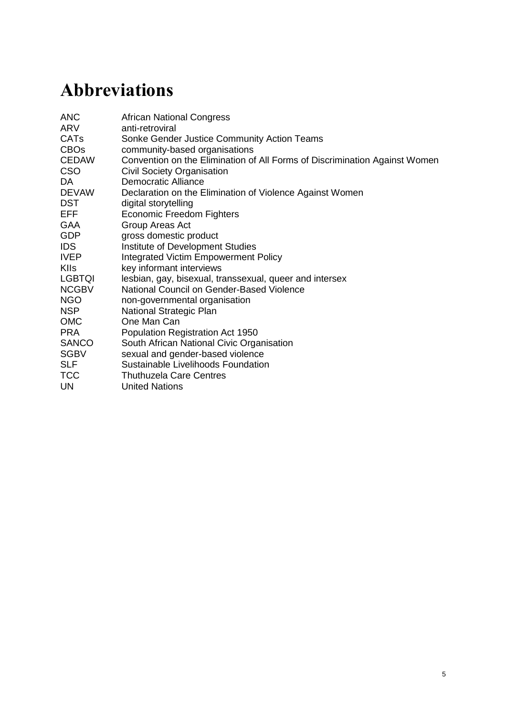by some men against women and children. SGBV is however a complex phenomenon perpetrated by men and women and manifests across all socioeconomic classes and groups.

Looking to the implementation of policy, several integrated approaches exist that involve both government and civil society in dealing with the prevalence of SGBV at national and provincial levels including the Integrated Victim Empowerment Policy (IVEP) and the Thuthuzela Care Centres (TCC). In 2011, the Convention on the Elimination of All Forms of Discrimination Against Women (CEDAW) Committee recommended that South Africa review its 365-Day Action Plan to combat SGBV, and adopt comprehensive measures, including accountability mechanisms to better address SGBV. The following year, at the end of 2012, the National Council on Gender-Based Violence (NCGBV) was established to provide highlevel political leadership for a coordinated multisectoral response to the issue. This Council was to initiate the first National Strategic Plan (NSP) for SGBV.

After nearly two years of very slow progress, the Minister of Women in the Presidency, Susan Shabangu, suspended the work of the NCGBV and the NSP development in July 2014. With the formal national process to develop an NSP for SGBV stalled, civil society has taken on the responsibility of laying out demands to push the fight for funding and political accountability forward. Civil society partners have embarked on a campaign to realise an NSP, demanding 'No More Empty Promises' from government.<sup>7</sup>

This case study, conducted with organisations that form part of this campaign, aims to feed into the call for an effective national response to SGBV. South Africa's experience with HIV has shown that a National Strategic Plan can be an important tool to gain the political commitment and funding required to tackle large social challenges that require a coordinated response among diverse stakeholders. South Africa is a middle-income country that can afford an SGBV NSP.<sup>8</sup> The development of a multisectoral National Strategic Plan will only be meaningful if it is fully costed and funded, and developed through an open and consultative process. Measures need to be put in place to work with the National Treasury on innovative mechanisms to fund a Plan; a review by Thorpe (2014) asserts that most departments do not have the funds or staff they would need for effective implementation of legal SGBV responsibilities. An initial shadow framework for the NSP has been developed by civil society through which to hold the government to account; key components include:

- 1. A plan that will invest in evidence-based prevention to reduce SGBV incidence;
- 2. Improved SGBV response in terms of breadth and quality of services for survivors;
- 3. Accountability in improved reporting and performance management systems;
- 4. Clear accountability institutional arrangements with clear and high-level political will and leadership;
- 5. Support for strengthened civil society capacity and funding to advocate on gender issues.

(Sonke 2014a)

Reflecting on what we can learn from the development of the HIV-NSP, it is important to recognise that South Africa did not just face an epidemic of HIV, it also faced a dissenting government. So whilst the realisation of a HIV-NSP was driven by the constitutional human right to life, dignity and respect, it was also realised through grounded community mobilising, collective action across sectors of society and international support. Part of the strategy in realising access to treatment required civil society to take its government to court to provide the much-needed lifesaving anti-retroviral (ARV) treatment (TAC 2010). Because SGBV has recognisably become an epidemic in South Africa this kind of civil society action to hold government to account is deemed vital.

 $\overline{a}$ <sup>7</sup> www.genderlinks.org.za/article/civil-society-takes-to-the-streets-to-demand-a-national-strategic-plan-to-end-gender-basedviolence-2014-11-24 (accessed December 2014).

<sup>&</sup>lt;sup>8</sup> Last year the Auditor General noted that wasteful, irregular and fruitless expenditure by various state departments cost the country R32bn (Sonke 2014b).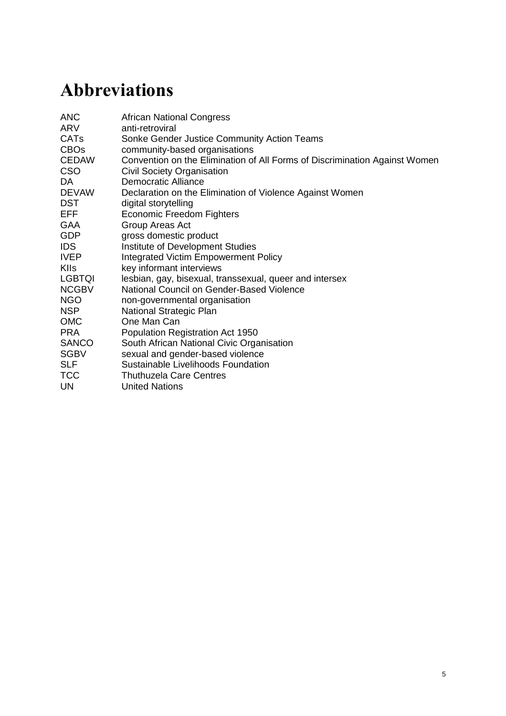## <span id="page-17-0"></span>**4 Research focus**

This case study set out to understand, first, the context in which people navigate multiple forms of inequality (linked to race, class, gender, sexuality, age) and their manifestations through specific forms of gender and sexual violence. This component connects to the poststructuralist and post-colonialist definition of SGBV that calls for attention to be paid to the relationship between structural violence and SGBV in the context of South Africa's history, and present. Second, the case study aimed to understand some of the ways that people work collectively to challenge these inequalities and forms of violence through interpersonal relationships and collective and political action.

The research questions for this study are twofold, articulated to explore the perceived structural factors of inequality that contribute to SGBV *and* the actions and actors involved in addressing inequality and SGBV. To this end, the following two research questions were used to guide the study:

- 1. What are the perceived structural factors (social, political, economic) that contribute to people's experiences of SGBV?
- 2. How (i) does the individual agency of men and women, and (ii) do collective political actions (public, institutional, etc) interact to engage certain kinds of processes that aim to prevent and address SGBV?

In this study, the term 'structural factors' refers to the discriminatory systems and institutions that shape, steer and drive inequalities that influence people's lives. They include laws, policies and institutions that maintain the privilege and power of one group over another in terms of opportunity, access to resources, religious and political freedoms, fair and inclusive responses by the police and government services and benefits (Manjoo 2011). The term 'collective action' refers to what people and organisations do *together* to challenge and change inequality and its related violence.

Overall, the study was conducted with the aim of providing useful insights into how citizens and civil society organisations are finding meaningful ways to engage with each other, and with the government, to challenge oppressive social norms and structures, and to build transformative strategies to end SGBV.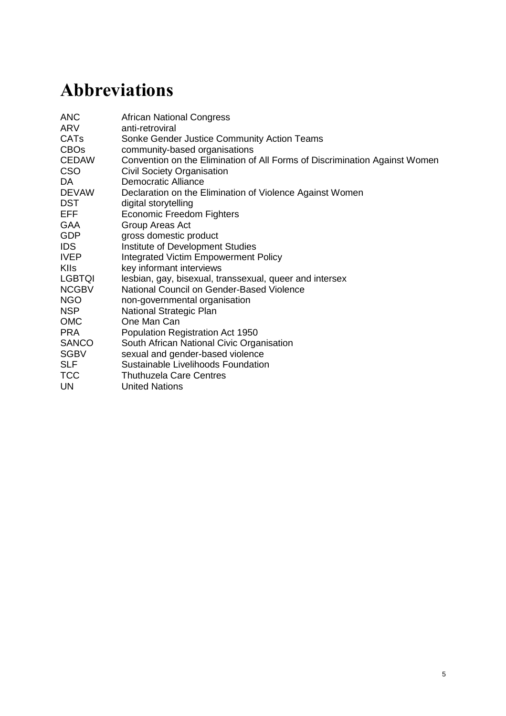## <span id="page-18-0"></span>**5 Research methodology**

This study used a multilayered research methodology in order to generate policy-relevant research that was empirically grounded and action-oriented. The participants of this research study included diverse actors engaged in the issue of addressing SGBV in the Cape Town metropolitan area and the Matzikama municipality of rural Western Cape.

The research team, spanning Sonke, SLF and IDS, comprised two researchers from each organisation who co-developed the research methodology. The wider research team from the three organisations held language skills in isiXhosa, isiZulu, Afrikaans and English (the main languages spoken in this province), and participants were able to articulate their perspectives in their own language.

The methods themselves were established to ensure that the research process was responsive to emerging policy dynamics linked to the development of a National Strategic Plan on gender-based violence and, principally, that it was empirically grounded and ethically accountable to those people with whom we worked and around whom this case study is centred, namely people addressing SGBV in their everyday realities. This was achieved through the use of dialogic and open-ended research instruments that supported participants to shape the direction of the research from the outset.

Finally, a desk review of relevant conceptual and programmatic literature was undertaken, exploring key concepts of sexual and gender-based violence, men and masculinity, collective citizen action and national policy reform in order to ground the research approach and researchers in a shared and contextually relevant understanding of the issues. The literature and policy review evolved over the course of the project, responding to the emerging analysis and findings.

## <span id="page-18-1"></span>**5.1 Research methods**

The research that underpins this case study was conducted in the Western Cape Province of South Africa, in Cape Town and Matzikama, between July and November 2014. The findings are based on three interlinked strands of research: digital storytelling with 11 participants; qualitative research, through key informant interviews with 26 participants; and policy engagement through a stakeholder dialogue event with 35 participants. More information on the stakeholder dialogue can be found in [this stakeholder report.](https://www.ids.ac.uk/publication/coming-together-to-end-gender-violence-report-of-deliberative-engagements-with-stakeholders-on-the-issue-of-collective-action-to-address-sexual-and-gender-based-violence-and-the-role-of-men-and-boys-october-2014-cape-town-south-afri)

### <span id="page-18-2"></span>**5.1.1 Digital storytelling and power analysis**

The heart of the methodology was a digital storytelling (DST) process with 11 people from informal settlements and townships in Cape Town (Delft, Guguletu, Khayelitsha, Philippi and Nyanga) who are involved in taking action to address SGBV in their own lives and in their communities. As such, they defined themselves as 'community activists' because they were activists working in their social and geographic communities; we use this term in the report to correspond with the participants' definition.<sup>9</sup> By grounding the research process in the realities of community activists, the methodology gives weight to the knowledge, understanding and experiences of those living with violence and whose voices are not often prioritised in decision-making on these issues.

 $\overline{a}$ <sup>9</sup> Annex 1 includes a process map of the community activists' participation across the different methodological components of the study.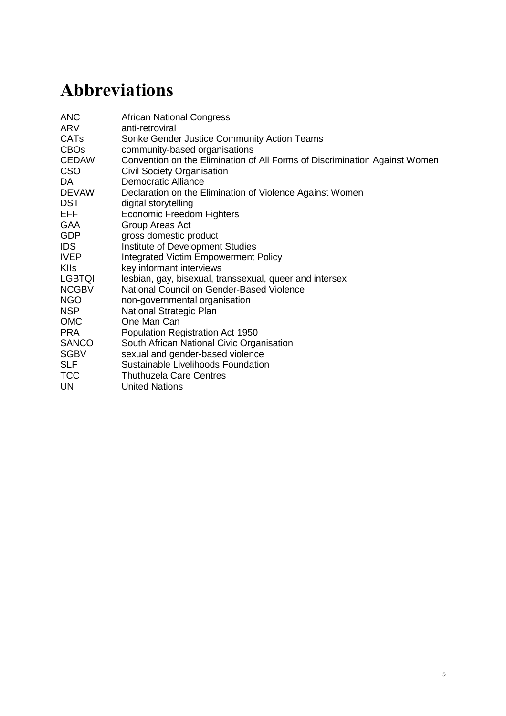Participants were recruited through Sonke Gender Justice Community Action Teams (CATs). CATs are groups of citizens working informally at the local level to address issues of gender inequality. Criteria for participation ensured that participants were open to talking about their personal experiences and feelings, and interested in telling their own story on the issues of gender, violence and agency, including how this would relate to their own activism.

DST is a learning, creating and sharing experience supported by technology, allowing participants to share aspects of their life story through the creation of their own short digital media production (Lewin and Wheeler 2012). Creative storytelling approaches combine a participatory, collaborative methodology with the creative use of technology to generate stories aimed at catalysing action on pressing social issues (Lambert 2002; Lundby 2008; Poletti 2011). These stories provide what Geertz (1994, 2001) refers to as 'thick description', where visual information, coupled with dialogue that is emotionally engaged, provides a nuanced understanding of the complex issues at hand. This process was five days long and asked participants to 'Tell us a story about when you have wanted to do something about violence experienced in your life, and what happened'.

Onto these highly personal stories, we added a collective visual power analysis through a three-day workshop. Participants did a power analysis of their own story – looking at how different forms of power (to, with, within, over) moved through their story arc. Participants then reviewed the political content of the stories and discussed what they said about contemporary social and political life. These processes culminated in the presentation of digital stories and proposals for change by the activists at the stakeholder workshop (see Section 5.1.3).

There are particular ethical issues involved in undertaking research in violent contexts, in terms of the risks that the research process itself can generate for participants and the researchers involved (Wheeler 2009). The rationale for the selection of a visual and participatory methodology was based on the exigencies of conducting research in a context of violence in an ethical way. The approach aims to give participants a greater degree of control over the research process itself and contribute to empowerment through selfrepresentation in the process of knowledge production (Liebenberg, Didkowsky and Ungar 2012), and holds the potential to make a positive contribution to social change (Abah, Okwori and Alubo 2009; Pearce 2009). Related to the commitment of an empowering, actionoriented approach, a final meeting with the activists offered space for reflection and to develop plans for how to use their stories and lessons learned in the future.

#### <span id="page-19-0"></span>**5.1.2 Key informant interviews**

The second research strand includes 26 key informant interviews (KIIs) with a range of stakeholders engaged in addressing SGBV from across the Western Cape, including two community activists and two participants, representing a national policy perspective.<sup>10</sup> The KIIs combined an open-ended and semi-structured approach with an in-depth interview (Rubin and Rubin 1995). The reality and experience of the interviewee guided the interviewers, as they responded to the participant's particular experiences and knowledge. This approach gives interviewees the scope to influence the emphasis of the research questioning, and interviewers are better able to broach sensitive political and social topics that are hard to address through other methods such as more structured and possibly more aggressive 'question-response' interviews. The KII schedule was framed around five core focus areas (see Annex 2) that responded to the research questions established for the study, and probing questions were developed through the knowledge and language generated through the process of digital storytelling with community activists.

 $\overline{\phantom{a}}$ <sup>10</sup> The Key Informant Interview schedule can be found in Annex 2.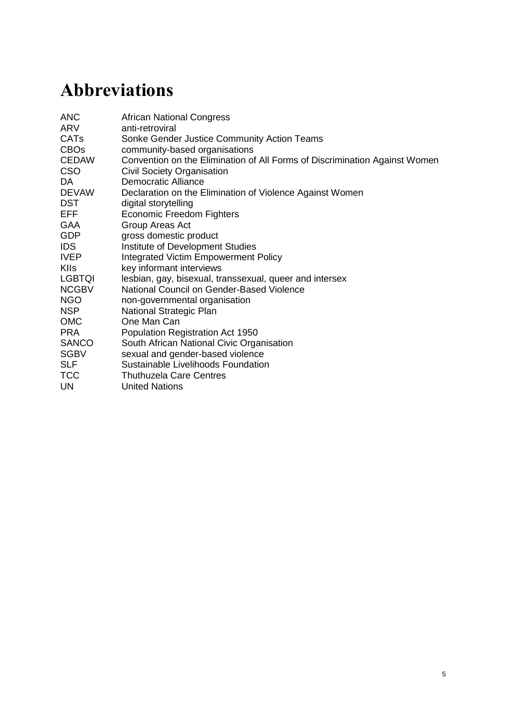Participants were recruited to represent a cross-section of civil society, academia, service delivery, and government institutions, and the activists involved in the community engagement component; selection was enabled through a database of actors working to address SGBV, and complemented through a snowball approach in which we included recommendations made through the research interviews as we went along. Participants held different socioeconomic histories, diverse, and divergent perspectives, and included gatekeepers of particular knowledge sets and community contexts.

### <span id="page-20-0"></span>**5.1.3 Policy engagement**

A stakeholder and policy dialogue event brought together the group of community activists and key informants from the qualitative stage of the research, and others for a deliberative engagement on collective action and strategies for ending SGBV in the South African context. This event represented a dialogue between the different perspectives and forms of knowledge generated through the research process, as well as drawing deliberately on the insight and experience of attendees. It was conducted as the final component of the study, in order to deliberate on current policy implications of the research and in order to bring together the 11 community activists, some of whom shared their digital stories, with the 26 stakeholders who had participated in the KIIs.

Recent experience in influencing global policy through participatory research has demonstrated the importance of bringing these different forms of knowledge together in policy change (Shahrokh and Wheeler 2014). The event was explicitly framed in terms of the current context of policy and practice around addressing SGBV in Cape Town and South Africa. A central objective of the event was to support civil society's influence in the development of the proposed National Strategic Plan on gender-based violence for South Africa.

## <span id="page-20-1"></span>**5.2 Ethical considerations**

The ethics of the research were reviewed by the three partner organisations against their own ethics policies, and were monitored and evaluated throughout, enabling accountability between the organisations. The integrity of our research was ensured through the relevance of this study to citizens, civil society and government agencies in South Africa, and our grounded and inductive learning approach. Informed consent was obtained for the multiple components of the research study and tailored to the particular approaches and focus areas.

Please see the participatory and qualitative consent forms used in Annex 3. Confidentiality was critical for the life history components, both for researchers and for peers in group-based processes. All participants agreed to their contributions being included in the research analysis, although with varying degrees of anonymity, and only four of 11 digital stories were given consent to be shared with a global public audience through online distribution. All participants engaged voluntarily in the study, with community activists receiving a face-toface briefing before the study began, and all KII participants were briefed via telephone. A counsellor was present throughout the work with the community activists, and participants engaged in group counselling after the digital storytelling process, which had entailed deep personal reflection.

## <span id="page-20-2"></span>**5.3 Analytical methodology**

We have taken an inductive and comparative approach based on grounded theory that allowed research material to be developed into findings through an iterative process (Charmaz 1995, 2002; Corbin and Strauss 1990; Glaser and Strauss 1973; Strauss and Corbin 1994). The approach discourages the rigid application of research hypotheses or predetermined theoretical frameworks to qualitative research; instead it encourages an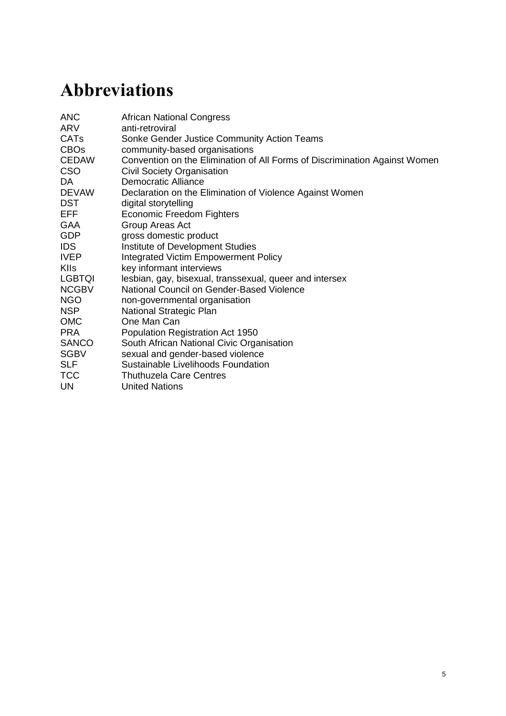inductive approach to conducting and analysing research in order to pay attention to the nuances of the data.

This was achieved through analytical workshops with the research team after key research events and milestones. Coding of qualitative material was also inductive (digital storytelling transcripts, community engagement workshop transcripts, key informant interviews transcripts, participant observation memos, stakeholder dialogue transcripts), supported by an analytical framework that was discussed at the outset of the research, revised in the course of conducting the research and finalised in a workshop on conclusion of the research – see Annex 4.

The research material has been analysed textually, including both the words and language used by participants. Visual material generated through the storytelling and power analysis were also analysed inductively to draw out a further layer of meaning from the textual information (Liebenberg *et al*. 2012). Weight has been given to the analysis conducted by the participants themselves at different points in the process; this was achieved, in particular, through the three-day collective analysis workshop with the 11 activists, and through the stakeholder dialogue with all activists, key informants and additional participants. The conclusions to the study have been based largely on a comparative analysis across the three research components.

### <span id="page-21-0"></span>**5.4 Study limitations**

This study is not and does not claim to be fully representative of all perspectives on gender and sexual violence, and collective action, in South Africa. We recognise that, in focusing our work with these three organisations (IDS, SLF and Sonke), and basing our work in the Cape Town metropole and Matzikama district, we have not been able to draw in a nationally representative group of actors working to address gender and sexual violence. Further, while this study reflects on policy processes from a civil society perspective, it does not represent the government level on the development of the SGBV NSP, for example. This was not within the scope of the study.

In drawing conclusions in relation to collective action as a strategy in addressing sexual and gender-based violence it should be recognised that all research participants had an interest or stake in the role of collectives working on these issues. While this may have generated a positive bias, the research approach was open-ended and critically reflective in order to mitigate against this as far as possible. Further, as members of South African civil society, the political position of Sonke and SLF, will have influenced the interaction with activists and stakeholders. The policy dialogue component and action-oriented nature of the study contribute to addressing these concerns.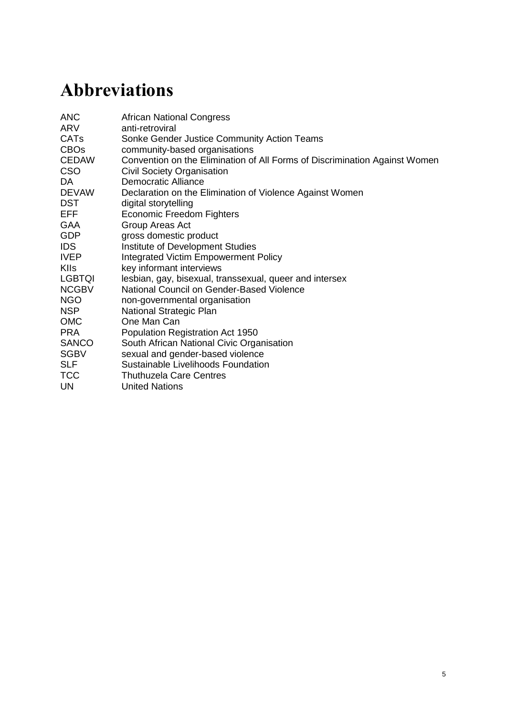## <span id="page-22-0"></span>**6 Research findings**

As outlined above, the study was designed to understand two main areas of enquiry: the perceived structural factors (social, political, economic) that contribute to people's experiences of SGBV, and the actions taken by men and women, individually and collectively, to address and prevent this violence. The analysis presented here, therefore, takes an approach that telescopes out from the individual to locate individuals, and their experiences of SGBV, in social, economic and political structures, before zooming in to explore how people and organisations have taken actions, collectively, to prevent and address SGBV; it is through this process that we have developed a grounded understanding of these concepts. The findings discussed below reflect on each main area of enquiry in turn, and the subsequent discussion draws these two areas together to develop a fuller understanding of whether and how actions at a personal and collective political level have broader implications and outcomes for addressing SGBV, and the actors and strategies involved.

## <span id="page-22-1"></span>**6.1 Structural inequality and SGBV**

violence to emerge and intersect with SGBV.

The key informant interviews and the collective accounts of the digital stories in particular, emphasised the importance of understanding the complex and intersecting inequalities – such as lack of or low levels of formal education, unemployment, poverty and labour migration – that lead to the manifestation of SGBV. This section explores these factors, and suggests that it is not only important to locate sexual and gender violence within a broader context of structural inequality, but it is also necessary, to understand the interlocking dynamics of structural violence and harmful social norms that lead to violence in the lives of men and women.

#### <span id="page-22-2"></span>**6.1.1 Legacies of inequality shape contemporary experiences of violence**

Participants shared how the structures and the history of South African society are embedded in the manifestation of sexual and gender violence in people's lives. The participants with whom we conducted KIIs explained that the violence people experienced during apartheid, in particular, has a continued and destructive impact on the way people are able to live their lives:

*The structures and the history of our society are all embedded in the problem. The legitimacy with which we use violence in South Africa – the situation of violence and crime in which children grow up – poverty, education, and the structured inequalities our society faces are a huge problem.* (Interview with Kelly, an academic stakeholder, 2014)

Racial and economic inequalities have continued to articulate closely with one another and therefore with experiences of entrenched poverty. The absence of an effective social protection and welfare system and the context of dramatic levels of unemployment mean that conditions are created that offer a foundation for different forms of public and intimate

The research findings show how economic inequalities interplay with normative gender roles that uphold structural violence. Activists spoke of the dominant male breadwinner ideology held in their communities, and how the experience of economic crisis in communities and households as a result of poverty and unemployment can contribute to violence. Participants explained that within traditional gender roles the unpaid labour of women often becomes a site of exploitation and abuse, with men taking on little responsibility for caring and unpaid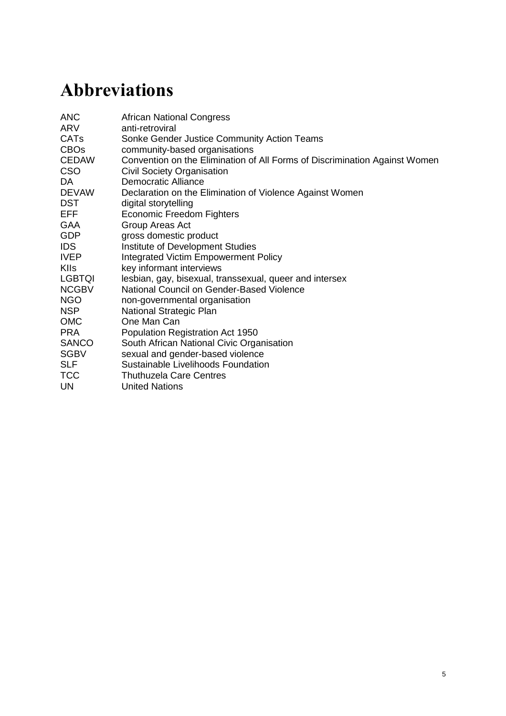responsibilities. At the intimate partner level, women's economic empowerment, and the acquisition of independence were also said to prompt violent backlash. A context of extreme poverty for many women living in Cape Town and the Western Cape means that leaving a violent relationship raises complex questions of strategies for survival.

Spatial inequality was also closely tied to racial inequality, and the history of apartheid's notion of 'separate development'. In Matzikama, a rural town in the Western Cape, the key informants highlighted space as a significant issue in terms of geographic isolation for poor, marginalised and racialised communities within this town, restricting opportunities and choices for economic development. Key informants from Matzikama and Cape Town's periurban areas explained that with such economic constraints and poverty in the lives of poor communities, building healthy relationships is very difficult.

The historical legacy of segregated education and employment (including job reservation) compelled millions of Black South Africans to migrate away from their rural homes in order to take up work, often as unskilled underpaid labourers, in order to earn a living. The compound impact of South Africa's legacy of racial and economic discrimination remains woven into the fabric of families and communities.

In rural areas, high levels of unemployment and related migration continue to drive the situation of absent fathers and broken family structures. A key informant working in Matzikama explained that men may work away for up to a year at a time, and that this push for employment-seeking opportunities affects men who are committed parents and partners.

#### <span id="page-23-0"></span>**6.1.2 Discriminatory judicial systems and the limits of law enforcement**

In addition to experiencing the legacy of structural violence, evident in limited education and unemployment opportunities, participants across the research shared how the present actions of the post-apartheid state are failing to adequately address inequalities through the judicial system. The most significant parts of the judicial system, referred to by the community activists and key informants, were those areas where people encounter 'law enforcement' officials, including the police, lawyers and magistrates.

Vena, a key informant and member of an LGBTQI organisation in Khayelitsha, for example, explained why people who experience SGBV are reluctant to report these crimes at police stations:

*[When LGBTQI] people go to the police station, [they] are then subjected to secondary rape by the police themselves. They call others and laugh at the person,*  and many people feel they are not going to report a case. In some instances, when *someone goes to report a case, this is what happens at the police station. The perpetrator won't be arrested, or the police won't investigate. The government really needs to put policies in place to make sure the police prioritise these cases.* (Interview with Vena, a civil society stakeholder, 2014)

Community activists highlighted institutional discrimination within the justice system as especially harmful for marginalised groups. The key informants and the community activists described their own and other's fear of violence and punishment by the police when reporting cases of SGBV, and of public humiliation when accessing health and survivor support services. This fear acted as a deterrent in accessing police resources, as highlighted across numerous key informant interviews and in the digital story of one activist, as she recounted her concern that the police would blame her for 'looking like a man but not behaving like one' when she was robbed at knife-point (see Vee's story, Box 6.1).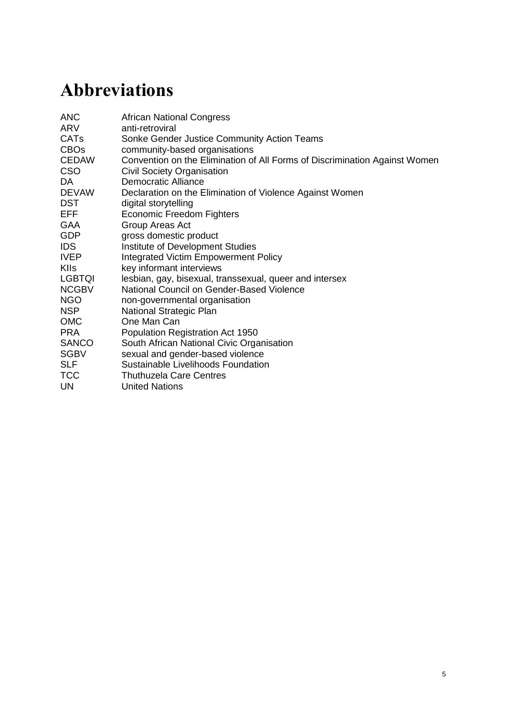The justice system was highlighted across the research as a place that is structured on patriarchal norms and maintains gender inequalities. Examples were given by key informants and community activists of police not taking responsibility for action in incidences of domestic violence. One community activist affiliated to the non-governmental organisation Mosaic spoke both of the need for protection orders and of their violation, referencing one example where a lack of responsiveness led to the murder of a woman reporting an abusive partner. Another activist described a delay of over six years and the inadequate management of a case to prosecute perpetrators of rape and murder.

People living as refugees also face major barriers in going to the police as it is perceived that the issue of SGBV will be rejected in light of their citizenship status; similarly for sex workers reporting violence, their perceived identity as a sex worker is used to dismiss the legitimacy of their experience of SGBV. Customary justice systems led by men who often uphold patriarchal views or norms were also underlined as places that act to reinforce the privilege and power of men over women. This poses challenges for women who are survivors of violence and seek justice but who are bound to the male perpetrators in their families as a matter of respect and to uphold cultural institutions. Key informants and community activists spoke of the barriers to justice that men face in their experience of sexual and gender-based violence; the issue of male rape was seen as holding extreme levels of stigma related to perceived transgressions of heterosexuality and masculinity norms, preventing the reporting of such violence. Furthermore, the reporting of domestic violence against men within heterosexual and homosexual relationships was described as being met with hostility and humiliation from police officers, as further punishment for transgressing hegemonic norms of masculinity.

This discrimination has a direct implication for the way that laws and policies become implemented in the lives of people experiencing violence. The amendment of the definition of rape as gender-neutral within the South Africa Sexual Offences Act was seen as a major success by a number of stakeholders in opening up possibilities of addressing sexual violence more effectively, and inclusively (Amendment Act No.32 of 2007). Despite national instructions that spell out the role of the officer who takes the statement, participants reported experiencing discrimination on the basis of their gender identity or their sexual orientation. Rather than working to operationalise these national instructions, participants explained that police officers reinforced stereotypes that 'blame the victim' and that punish LGBTQI persons and women for the violence they had experienced and sought to report. In doing so, the actions of these police officers continue to perpetuate an environment of impunity around SGBV, effectively endorsing violent behaviour.

Men's and women's everyday interactions with the state shape their experience of citizenship and the way in which rights and entitlements are expressed, and understood. These institutional barriers and structures of constraint prevent people who are living with and experiencing violence from knowing their rights, or how to claim them. For example, a woman may know to go to the police station to report SGBV, but when she is sent away by the officer on duty, her understanding of the role of the state to address her case is shaped by that interaction. Key informant participants highlighted that people involved in violence are not aware of how the criminal justice system should work, what the law says or the responsibilities of the police in upholding human rights.

A number of stakeholders in this study have argued, however, that the responsibility for addressing SGBV should be shared with government. In this sense, strategies for prevention must move beyond harsher sentencing, or promoting a 'police state', towards the roles of families, schools, the media, private sector, and traditional and religious institutions in the process of change. There needs to be a consciousness-raising within society, an awareness of 'who am I, in relation to this issue'. For government interventions this shift means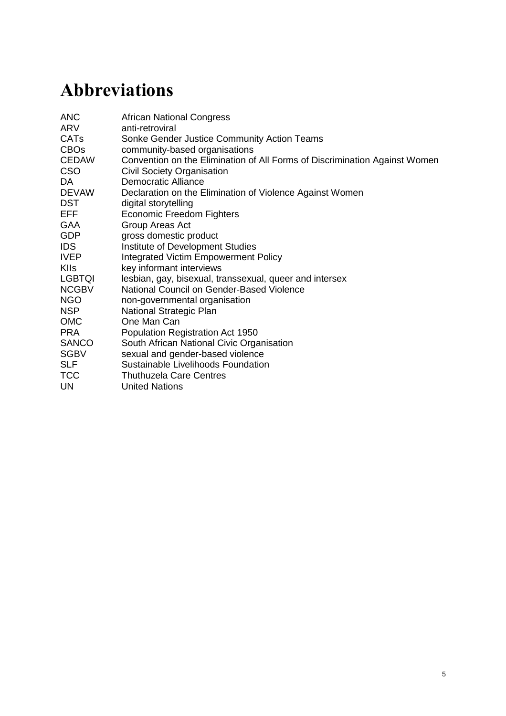engaging in a prevention agenda, as articulated in the Shadow Framework of the NSP on SGBV, discussed above.

#### <span id="page-25-0"></span>**6.1.3 Social norms and institutions that fuel gender inequality and violence**

Participants articulated the deeply gendered nature of politics, and how this is knitted into customary and religious institutions. These institutions, and their leaders, encourage particular gender norms and practices that fuel gender violence. For instance, one of the main discussions at the stakeholder policy dialogue centred on the way in which traditional leaders promote rigid gender norms for how to be a 'man/woman' in a monogamous, heterosexual relationship. For women in rural areas, according to a number of people who attended the dialogue from the Matzikama region, the boundaries within which they can live their lives were heavily prescribed by tradition and religion. Forced marriage was highlighted as a traditional practice that restricts the freedoms and choices of women and how the practice of *Ukuthwala*, which sees the kidnapping of young girls to catalyse a negotiation of marriage, is justified through traditional and cultural beliefs.

Normative gender roles, prescribed by religious leaders and traditional institutions, mapped onto the participants' experiences and accounts of their parents' approach to raising girls differently from boys. In discussion during the collective power analysis workshop, three men who had struggled growing up with distant or deceased parents, now working as activists through Sonke's CATs, heard about how Sinazo, a spoken word poet and activist, had been taught to behave as a woman. She said that women and men were 'groomed' differently to take on different kinds of work:

*Opportunities are more easily accessible for men; we as women have that stereotype mindset as a woman you're only allowed to work in a kitchen or an office, you can't be more creative. For guys they can feel like they can do anything. It's how we grew up, it's how we were groomed…*

The men in the group went on to say that the issue was not about the fact that these norms were restrictive for both young men and women, but that they could see – among their friends and other members of their community – that men punished their wife or girlfriend if they earned more money than them, because they did not want to be called out by their friends for 'not being a man'. Sinazo also acknowledged that men must feel under significant pressure to be the 'breadwinner' because women, too, expect men to earn enough money to 'treat them well'.

For many in rural and urban contexts, rigid gender norms that are maintained through family hierarchies and religious organisations significantly curtail freedoms of expression of sexual identity. The research found that marginalisation and discrimination of lesbian. gay and transgender persons often follows a rejection or transgression of these norms. The justification of religion or 'tradition' becomes used as a means of violently controlling the life choices and sexuality of others. These forms of gendered violence were often described as public acts, for example in the case of the rape of lesbian women, and can be understood as an attempt to police norms of 'right' and 'wrong' kinds of gendered behaviours and corresponding forms of sexual identity and expression. This form of public policing also relates to the narratives of sexual violence that place blame on women and girls for stepping outside of their gendered position of subservience located within the home, for example by drinking alcohol in a *shebeen<sup>11</sup>* or staying out late at night with friends. One digital story, for example, recounted a young woman's experience of violence from her uncles as a form of punishment when they found her to be spending time in a tavern. Her experience of this physical violence prompted her to seek support from her older boyfriend who then raped her after she refused to have sex with him. As a young woman, without any support from her

 $\overline{\phantom{a}}$ <sup>11</sup> *Shebeens* are predominantly informal establishments that sell alcohol, often without a licence.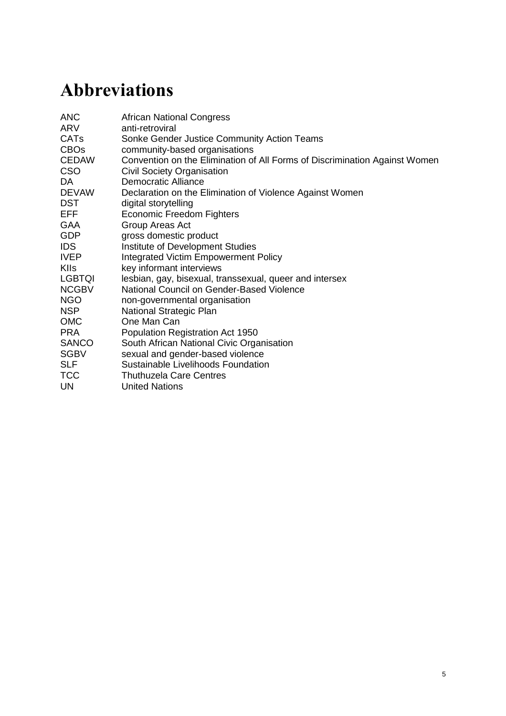family, she quickly found herself pulled into a cruel cycle of drug use and sexual exploitation. These examples show how a patriarchal gendered social order is itself a form of structural violence in that it enables the policing of gender norms limiting freedoms and rights based on gendered identity.

Participants explained how inequitable gender norms enter into the lives of boys and girls from a very young age. Expectations placed on men to uphold certain masculine norms not only create the social pressures that drive the perpetration of violence and engender inequitable attitudes and behaviours, but also challenge their willingness to disclose violence. Boys as well as men are constrained from reporting sexual violence and abuse in their journey to becoming a socially preferred version of a man. The harm that violent masculinities cause men is a significant issue and was articulated across the research, including in relation to men expressing masculine power in perpetrating violence against other men. Community Action Team members highlighted how this understanding is important in engaging men in taking action against gender-based violence, and how working towards more gender-equitable societies is in the interests of both men and women.

The role of political institutions and leaders in shaping gender norms was also emphasised in the key informant interviews. For instance, one participant explained that President Zuma modelled a certain form of masculinity through his rape trial, one that sanctioned violence against women by other men.

*And I would say that a key moment in the history of the country and the movement was the case against Zuma… the rape case was a turning point in terms of how men in this society – more traditional men – saw their role and their interaction with women. That was a key point, and many men just felt like, 'If he can get away with certain things, why not me?' So I think that was quite a negative influence*. (Interview with Anonymous, civil society stakeholder, 2014)

A lack of effective political leadership on the issue was highlighted as a major barrier to change. Participants explained that without strong commitment from leadership, including the presidency, on ending SGBV, the transformation of norms in wider social contexts, and the effective implementation of policies and programmes are vastly limited. Stakeholders highlighted a disconnect between the high number of women representatives in politics, as detailed above, and their perception that these women are not adequately empowered to take up senior positions of leadership in government, nor are these political actors committed to women's empowerment in society. This disconnect was articulated in relation to women in politics working to maintain the power of men in political parties, which has been to the detriment of a political commitment to the issue of SGBV. Another political factor that is undermining change towards ending SGBV is the perception that members of the government are acting out of political motivations, and to enrich themselves, rather than really addressing priority issues such as SGBV. The nature of politics at the local level was described by community activists as highly clientelistic, especially in relation to SANCO (South African National Civic Organisation) and the roles of ward (local area) councillors.

### <span id="page-26-0"></span>**6.2 Collective action to address SGBV**

The findings discussed in this section present a complex picture of how collective action works to build personal strength and shared accountability towards ending SGBV. Moving between the community level and wider stakeholder analysis, the research components enable us to see what enables and constrains the personal agency of men and women and how this is related to the way in which we interact with others – activists, organisations and institutions – for collective change.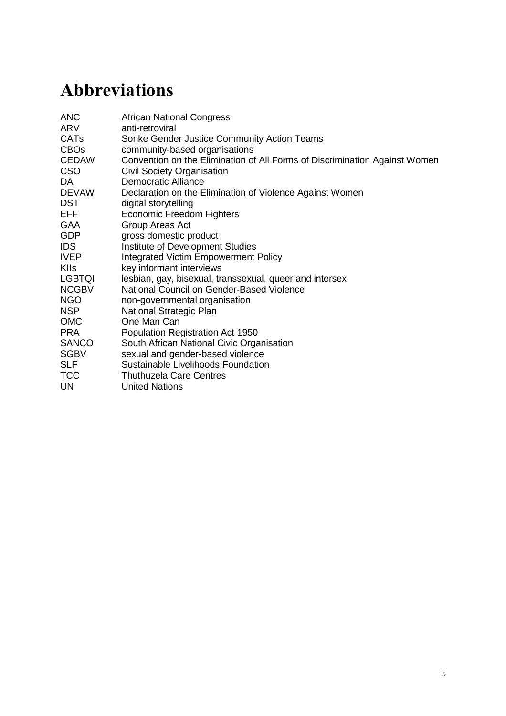Within this approach we hope to draw out specific insights on the role of men and boys in the process of change, and how engaging men as agents of change relates to the destabilising of repressive patriarchal gender orders that maintain structures of violence and inequality in the lives of men and women.

#### <span id="page-27-0"></span>**6.2.1 Forms and functions of collective action in communities**

*The CAT members are those that may have quit school, that don't have formal education, but they recognise that they can come together in the community to plan for their community. They meet with teachers, nurses, police officers, and think about how to work towards our community together.* 

(Interview with a man working as a community activist, 2014)

Strengthening strategies of community engagement by building formal and informal initiatives that enable change led by men and women working together was highlighted across the research study. Community mobilisation needs to be considered in the response to violence – that is, in terms of particular cases – but what participants were interested in highlighting was how mobilisation can be strengthened within the context of prevention. Key informants highlighted the importance of both men and women as agents of change in this space of mobilisation. However, it was important that there should be opportunities to engage separately as men, and as women, in order to build the confidence and resources to work together for change. It was explained that, for women, it is important that they feel a sense of empowerment so that when they then meet with the men, they can express themselves.

Community activists shared their experiences as Sonke CATs members, and as gender activists in their communities across the Cape Town metropolitan area. They explained how they work within the community system in order to shift attitudes and perspectives on gender equality. These teams come together through their commitment to addressing gender inequality in their own lives or the lives of others; they include people from diverse backgrounds, including those out of work and school, and are open to men and women. The CATs' vision is to ensure that men are included in mobilisation against SGBV, building support networks for men and women in the community in order to address gender inequality. CATs work with men to critically reflect on their role in maintaining gender inequality and act as role models for other men and women in the way that they bring gender equality into their everyday lives. Key informants from the Matzikama Men and Boys network also spoke of work within communities to support men and women to act as positive role models on issues of gender and community development for their peers, and for girls and boys, in order to support positive pathways that are blocked by current norms and attitudes. Media campaigns with men from the area published in the local dialect have been effective in promoting positive local role models as examples of equitable parenting; in turn this has increased interest within the community in the work of the network on men's caring roles.

CATs also work to hold men across the community to account on these issues. Members of these teams work together with people in positions of responsibility such as police, pastors, ward councillors, community-based organisations, teachers and nurses, to build partnerships and create safer communities. They also work on an individual level, for example accompanying LGBTQI persons to church, and showing solidarity for their equal place in society. We also heard how support from civil society organisations (CSOs) to which community activists are affiliated can enable partnerships between different groups working to address issues of gender inequality and violence. For example, organisational partnerships between CSOs working on gender justice and LGBTQI rights provided space for community mobilisers to learn from each other on the different gendered issues and discriminations faced within the community, enabling that learning to become embedded in their work.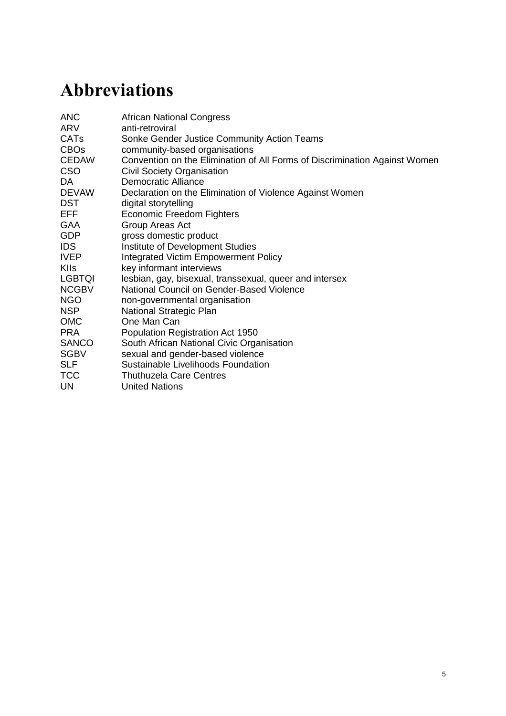However, the issue of the lack of physical space and necessary infrastructure for communitybased organisations to function effectively was raised repeatedly. The CATs members involved in this process spoke of how new spaces can be created for creative and artistic methods that can be used in the community to enable opportunities for people to come together and discuss difficult issues around gender and violence.

*Drama groups can look at different characters in public places, play with things the other way around; these help to create discussion and dialogue. Along with drama, music and poetry enable the community in their process of changing beliefs to learn and start showing change in the society at large.* 

(Presentation transcript from discussion with community activists on gendered norms, 2014)

#### <span id="page-28-0"></span>**6.2.2 Building personal power in spaces of safety and belonging**

The role of collectives in enabling feelings of safety, support, belonging and equality was highlighted across the research. For many participants, engagement in a collective enables a shift towards a new reality where non-violence and equality between men and women are possible. For people who have experienced and continue to experience violence, the collective helps build relationships that support an everyday form of survival, in terms of personal wellbeing and internalising your own sense of self-worth.

In the narratives shared by the community activists this was clear in the lives of men and women who were building the strength to deal with complex issues of violence. The role of collectives in creating a space to connect with others who have experienced violence themselves, or providing support services, including counselling and participatory education sessions, enables a platform for healing and transforming gender-inequitable attitudes. In her digital story, Vee, who was rejected by her mother because of her sexual orientation, has rebuilt her experience of family, in the LGBTQI association Free Gender that supports her in her community and takes action against hate crimes (see Vee's story below, Box 6.1). Narratives from the community activists in the research highlighted that where these spaces are not available, people living in adverse circumstances may seek these support systems in groups that are ultimately harmful to their wellbeing and future trajectories, for example within gangs of young men, and peer groups that are finding coping strategies through abusing drugs, alcohol and their bodies.

For men and boys these spaces are also critical. As outlined by Gabeba below, work towards gender equality needs to be understood as relational, and men's engagement in this process is critical, both for men's own wellbeing, and the wellbeing of the women in their lives.

*So, when someone that you can relate to – and someone you see as your equal – tells you that that's possible, you know, it's almost too much. That's the power of Embrace for me; that emotional support. But the thing is, they need that support from their partners. How do you do that when your male partner is not yet connecting with himself? How do you get him to connect with his female partner? I think that's what's happening with our men. They don't know how to connect with themselves*. (Interview with Gabeba, a civil society stakeholder, 2014)

Key informant stakeholders highlighted that constructions of masculinity prevent men from speaking about issues of women's rights or critically reflecting on their role in driving gender inequality. Spaces for men to talk about relationships, emotions and violence create opportunities to reconstruct gender norms and shift attitudes and behaviours away from normalised forms of violence and related gender inequalities. It was explained that in order to be effective, spaces that engage with men to end gender violence should avoid generically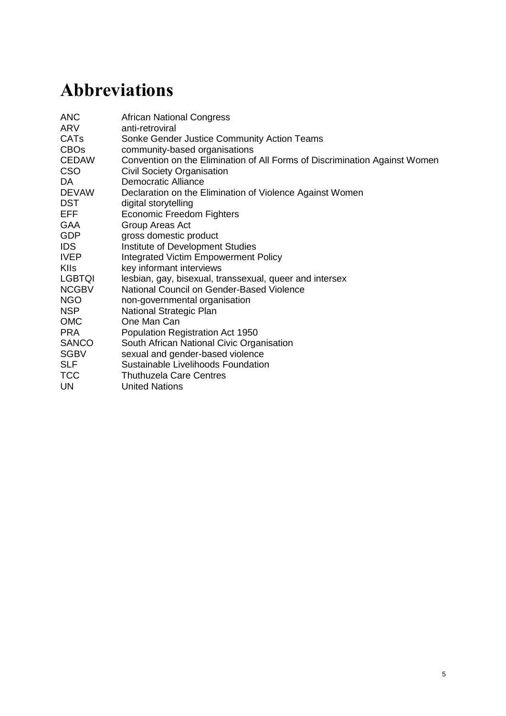labelling men and boys as 'perpetrators of violence'. It is important that men and women's complex and intersecting experiences of violence are recognised and that this enables a platform for discussion. Notions of accountability for gender equality were also explored, in order to raise awareness of how everyday attitudes and practices work to uphold the dominant masculine norms that maintain violence.

Through his digital story one man shared how his decision to end his abuse towards his family was supported through Sonke's programmes working with men through group-based education on children, parenting and men's care work. Initiatives that challenge narrow constructions of 'gender roles' were highlighted across the research as important opportunities to engage men in reconstructing more equitable relationships between men and women.

### <span id="page-29-0"></span>**Box 6.1 Vee's story**

The stories of people living with SGBV emphasise how critical it is to actively engage one's most immediate relationships in processes of social change, for the realisation safety and security. In diverse ways, people who have experienced SGBV in their homes and communities are building more equitable social relationships that nurture their sense of belonging and recognition, enabling them to take action within a wider political system to transform the situations of others. Vee's story is an example of this.

*My name is Velisa, I was born 1986 in Gauteng. I used to stay with my mother, sister and my brother. We were a very happy family. All this time I had a secret, and I didn't know how I was going to tell my mother. I used to sit in my bedroom and think how I was going to tell her.*

*They say it is not black people's culture to be a lesbian, people used to call me names like 'Satanist', saying I had 'snakes'. Because I didn't have a boyfriend, and I sat by myself. Being called names was painful and it was breaking my spirit.* 

*One day I decided to sit down with my mother and tell her that I am a lesbian. I don't like boys, I love women. Then she left me and went to her room, the next morning she never spoke to me. My mother and I stopped being close, we used to talk about anything now things changed. Not speaking with my mother was very painful. I sat and I thought of a better solution for myself. In December 2004 I decided to go to my grandmother in Khayelitsha in*  Cape Town. Then I found my grandmother accepted me, she gave me love and support and *wanted me to be happy. I was happy, I even forgot how my mother treated me.*

*It was hard in the streets of Khayelitsha, there was that group of boys sitting in the corner looking at people. One day I was robbed by these guys, in a street near my place. They took out three knives, two of them pointed a knife at me. One of them searched my pockets and took money and my cell phone. I didn't want to go to the police, because when they see me they are going to say you were beaten by a man, but you look like one.*

*In 2011 I joined a family called 'Free Gender' and they were working with a lot of lesbians like me. We used to meet and talk about all the issues that we face as lesbians. It was a relief having this new family of lesbians, I was happy. I was also happy at home with my grandmother*.

(Vee, a community activist participant, 2014)

Watch Vee's story, and those of other activists from this research process at: <http://interactions.eldis.org/capetown-digital-stories-on-sgbv> (see video)*.*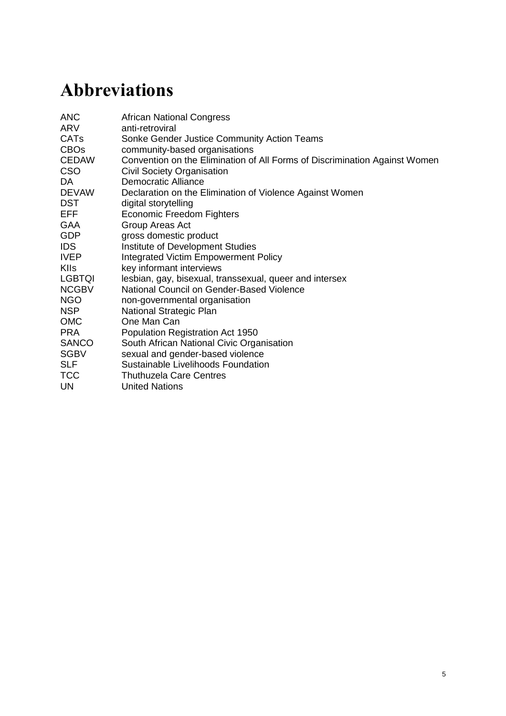#### <span id="page-30-0"></span>**6.2.3 Personal agency and empowerment to effect change**

For many of the activists and key informants involved in this study, the building of personal agency, empowerment and critical consciousness has translated into political expressions of power through their activism in relation to SGBV. Within the group of community activists, and some key informants, this transition had taken place in diverse ways. For many, the democratisation of social relationships within their own family was a critical space of change (as shown in Vee's story, above). Working to establish positive gender norms often related to a parent's position as a role model to their children, and the idea that modelling values and ways of being were shared as ways to provide important strategies for children in navigating the complex and gendered social and political contexts that they will grow up in. This has positive implications for the critical need for a change in gender dynamics presented in the research.

For others, this political agency was expressed through informal relationships within their community. Activists involved in the digital storytelling workshop shared how their quest for change entered into the everyday lives of people living in their community. One participant said that he actively used his physical power and historic reputation of being a *tsotsi*  (criminal), to walk alongside (or sit next to) people who were marginalised in his community. This included people who were gay, and women, who might have found themselves in vulnerable positions in public places. Other participants spoke of strategies for influencing peers that involved engaging their local knowledge to access their familiar environments, and finding socially and culturally appropriate ways of interacting on these issues. Reaching men and boys in community settings meant, for example, informal conversations in *shebeens*, one of the only forms of open public space in township communities, traditionally dominated by men. The notion of appropriateness in relationships for engaging with men and boys to address gender-based violence was raised elsewhere in the research, specifically in terms of engaging with traditional and religious leaders. Participants highlighted the importance of locating or enabling champions in community leadership positions to broker access to men in these positions, in order to catalyse the process of change.

#### <span id="page-30-1"></span>**6.2.4 Networked ways of working for gender justice**

Partnership working and networked approaches to addressing gender inequality were highlighted as critical across the research. A number of participants grounded this view in the history and evolution of collective action for women's rights through apartheid. The Western Cape Network on Violence Against Women outlined how partnerships emerged between women's rights organisations in order to fill the gap in state services to black women. In building this network, support was then demanded from the state in order to ensure that the work was being recognised.

This way of networking continues today, in particular in relation to how informal and formal alliances at the local level provide referrals to support survivors of violence, and to access further support mechanisms if particular government programmes are full, or not responsive. The role of civil society in filling the gap in government services was a strong message; this is critical in rural areas that are marginalised from both government and civil society schemes. The government makes use of non-governmental organisations (NGOs) to support their programmes, implementing few initiatives themselves. The integral role of civil society in interventions to address SGBV means that people are closer to getting the services that they need, and are entitled to. However, it was highlighted in the research that there is a lack of awareness in the community of the kinds of initiatives and services available and that this lack of awareness needs to be addressed by localised responses such as directories in publically accessible locations.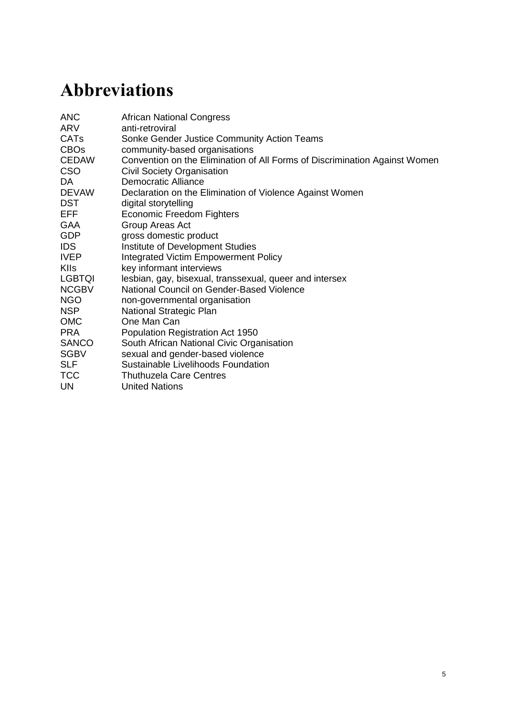In relation to the complex and interconnected causes of sexual and gender violence, key informants highlight that where networks are working effectively, they recognise the importance of partnership working across sectors. The example of the Matzikama Men and Boys network starts with a diverse group of organisations including community-based organisations, faith-based organisations, government service delivery agencies and community role models coming together as a platform.

*When we created the Matzikama Men and Boys network we wanted to provide a platform for organisations to come together and share their experiences of what they're doing and to inform each other so that the work they are doing in each of their specialist fields is understood and they are not duplicating each other but rather support each other*.

(Interview with Jenee, a rural civil society stakeholder, 2014)

This platform then provides a space to educate each other about the work they are doing and then to take this learning out into their work in the communities. It means that community initiatives have the potential to work more synergistically, for example on issues of parenting, health, adult education and livelihood security. Key informants in Matzikama expressed how this has enabled the organisations involved to extend the reach of their initiatives to more isolated rural communities. A number of key informants highlighted the significance of strategic alliances between women's organisations and those engaging men and boys for gender equality to achieve a transformative agenda on gender. In relation to the church it was highlighted that shifting gender-inequitable norms means that CSOs, wider stakeholders and men and women together are standing up and demanding equality for women.

An important driver of effective partnerships lies in the opportunities afforded for knowledge sharing. The significance of diverse partnerships to deepen gender analysis was highlighted, including critically engaging about the role of patriarchy as a driver of gender inequality and the structural drivers of change. Participants in civil society spoke of critical conversations between organisations with different starting points in terms of men and masculinities, queer and feminist theories. Importantly, at the community level this means working between groups that engage men, LGBTQI persons, women and girls, to deepen a shared understanding of the drivers of violence. It was also highlighted that networks working across levels and sectors play an important role in enabling and learning from community knowledge in processes of change. This includes the innovations that communities are undertaking to address gender inequalities, and their insights on how and why gender manifests as violence in people's lives. However, an important gap was seen here in relation to how this knowledge becomes mobilised into policymaking.

Networks also play an important role in translating law into the rights of citizens. Participants spoke of the importance of organisations such as the Commission for Gender Equality and the public outreach work that is done with communities on rights education and awareness raising. It is critical that this work recognises the violent realities of the people involved. including the backlash from men against women for claims to or advances in gender equality. The partnership between organisations working to raise awareness on rights and empowerment and educational institutions was highlighted across the research. This is an important space for supporting young men and women to hold an understanding of women's rights across the life course. However, this work needs to be supported by training for teachers and institutional policies that uphold these rights, in order for those rights to be realised and internalised. Community activists spoke strongly about the role of schools as spaces for upholding rights to safety but that currently this is not the reality.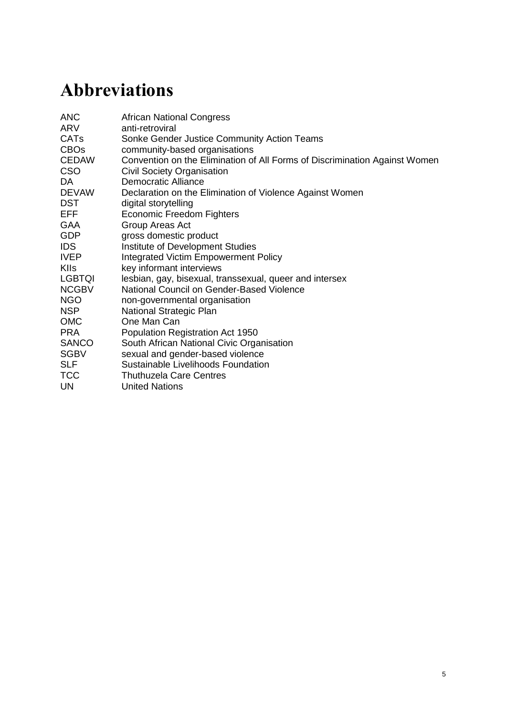#### <span id="page-32-0"></span>**6.2.5 National advocacy and accountability for gender justice**

Localised groups, movements and organisations provide a first-hand understanding of the demands of people living with violence for the changes needed to produce more effective interventions, and play a critical role in engaging more marginalised groups. It is also at this level of the collective that success in national advocacy can be experienced and realised. As we have seen from this research, this needs to relate to material improvement in the reduction of SGBV, and the capabilities of people to claim rights and the strategies available to them. As one participant outlined:

*I think we all have different roles to play. Like ourselves – Mosaic is doing great work on the ground through some forms of mobilisation and actually providing the direct service about violence education and really capacitating community members to advocate for their rights. Then, on a larger scale. you have an organisation like Sonke, who really does large-scale national, regional and international advocacy work, which is massive in terms of putting pressure on the government to put the proper legislative reforms in place – on a national level, the Shukumisa campaign, which is one of the partnerships I mentioned, has done amazingly in terms of sexual violence legislation and around reforming sexual violence legislation to be inclusive; to make sure blueprints are in place.* 

(Interview with Kerryn, a civil society stakeholder, 2014)

Coalitions of actors, across multiple organisations working towards greater equality, can create channels and opportunities through which claims for gender justice from the local level can be amplified through to national advocacy initiatives. There is recognition that the process of change to address violence is complex and messy.

*I would say one of the key learnings for me in this work – through the work of GFSA [Gun Free South Africa] – is the importance of a dual approach of being able to reach up to the top and influence policy at the highest level, but to make sure that there is an interaction from the bottom up. It's not a linear process; it's a process of dynamic interaction, where the work that the organisation is doing on the ground with grassroots community of creating safe spaces which we did through the 'gun free zone' campaign*.

(Interview with Adele, a civil society stakeholder, 2014)

A dynamic interaction between different spaces of knowledge creation – local realities, civil society strategies, and government policymaking – will mean that policies and practice can engage more effectively in the complex process of change needed in addressing SGBV. Through the research study, there was a limit to what we were able to learn about the links between these different parts of the system. Clearer strategies are needed for linking across actors that build networks that work together to influence policy and catalyse social change in a collaborative and accountable way.

It is clear from this research that a strong response is needed from the state on addressing SGBV. Participants spoke of the importance of training and capacity building across state institutions, from policymakers to service providers. This training has to go beyond one-off, broad-brush approaches, to those that offer more sustainable change and feed into a prevention agenda. There also needs to be accountability within the state system, for example in terms of police brutality, or a lack of responsiveness on issues of SGBV. It was highlighted that there is currently no career path within the police system that supports work on SGBV. It was argued by key informants that the state needs to have a multipronged approach to addressing SGBV alongside structural violence. This would entail, for instance, working to address high levels of unemployment, while also strengthening law enforcement mechanisms to encourage more people to report crimes and access resources. Key informants highlighted that this involves government working more effectively in partnership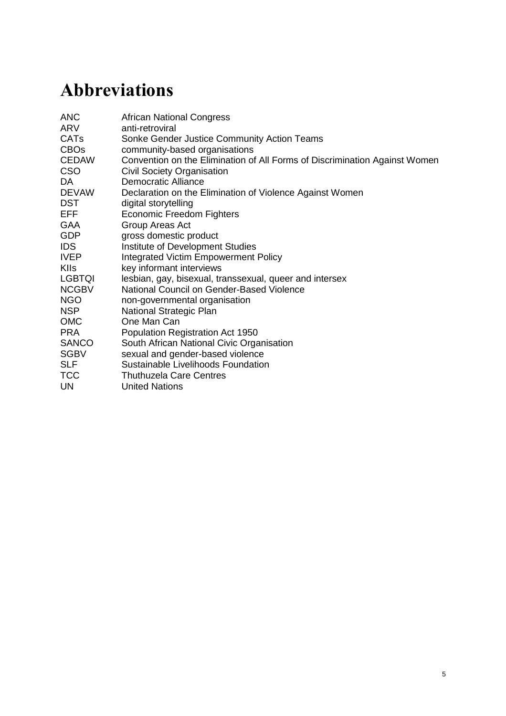with NGOs. In turn they argue that there is a need to build knowledge and understanding of where government is working effectively with – and not in place of – CSOs: the Victim Empowerment Programme was highlighted as a starting point for this, including how this has been rolled out to rural areas. The focus of the Department of Social Development on early childhood development was applauded as an important shift towards understanding how violence becomes a part of people's lives before they encounter the state system in terms of law enforcement.

### <span id="page-33-0"></span>**6.3 Lessons for and limitations to collective action to address SGBV**

This final section provides some insights into the constraints and possibilities of collective action to address SGBV that works across levels and spaces, and that meaningfully engages with both men and women towards transformative change. The learning generated is focused on the practicalities of collective action across movements for gender justice, and the resources and strategies necessary to effect change.

#### <span id="page-33-1"></span>**6.3.1 Recognising constraints to engaging men for gender justice**

Within the research a rationale for men's involvement in ending gender-based violence was articulated by a number of community activists and key stakeholders: participants suggested that by engaging men in this process, both men and women are recognised as being negatively affected by patriarchal inequality, but that this process needs to, and can, hold men to account for the privilege and power they embody, and implicitly or explicitly exert in relation to other men, and women. However, for others there is tension and scepticism of the possible role that men can play in addressing violence against women, and children.

*We first have to make sure that women understand their own power, before we can start engaging over there – because we have seen it happening over and over again that we are working towards women's empowerment, and leadership, and capacitating women – and the minute the doors are opened, the men walk in and they haven't dealt with their own issues (and I'm saying this as a group).*  (Interview with Glynis, a civil society stakeholder, 2014)

Multiple key informants working in traditional women's rights organisations highlighted the critical work they are doing on the violence and abuse that men perpetrate. They argued that this work is fundamental to the security of women, and it is therefore not their responsibility to work with men. Those organisations that are dealing with masculinities need to go beyond working on 'gender equality', which it was argued is a depoliticised construct. This work needs to lead to men holding men accountable, both as perpetrators of violence, and in relation to their role of upholding patriarchy, and the privilege and power that they are born into.

Tension was also experienced around the implications of the perceived development of a 'men and boys' agenda for the women's rights movement. One concern raised was that working with this constituency would mean that women fall off the programming priority area. Further concern was raised in relation to particular strategies for working with men and boys that find entry points through conservative, traditional and religious values, for example promoting the role of man as protector. For women's rights organisations these strategies are seen as contributing to the maintenance of patriarchy. Holding each other to account on this is critical for enabling change towards gender equality that works towards transformative change for men and women.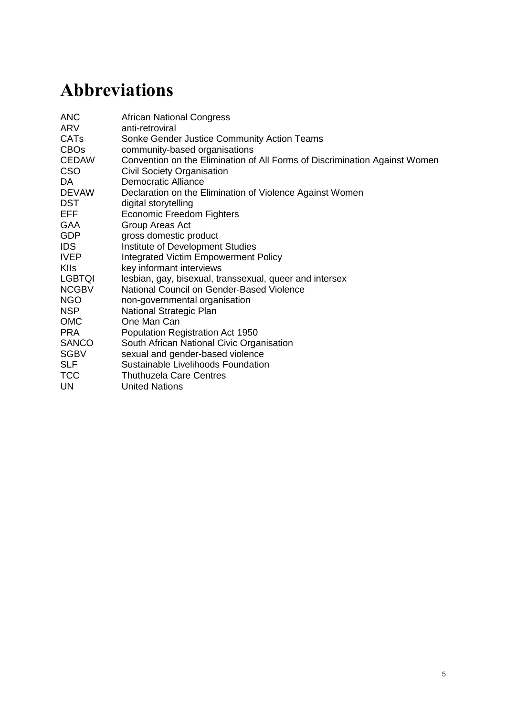The key informant interviews indicated that one way to hold men and women's organisations accountable for their work on gender transformation was by encouraging these organisations to look internally at women's leadership in the programmes and campaigns that men are a part of. In raising this point, the key informants problematised 'gender transformation' initiatives for, in some cases, quietly maintaining normative gender roles that situate women lower than men within the organisation's hierarchy, while claiming – externally – to facilitate a shift in these very norms. Strategies for addressing violence have an important role to play in enabling trajectories of change that relate transformations within the home and community to wider societal structures including the gendered order of civil society organisations and movements. Collaboration between organisations/movements working to engage men for gender equality and those focused on women's rights can help address some of these issues. This mutual learning has the potential to engender accountability for some of the limitations present in work with men and boys.

#### <span id="page-34-0"></span>**6.3.2 Funding and resource allocation**

Personal and political commitment to addressing SGBV can be demonstrated by the introduction and implementation of effective policies that regulate budgets and direct resources towards preventing and responding to SGBV in South Africa. Key informants also outlined how government budget restrictions as a result of contemporary austerity measures are impacting the services that are closest to the lives of those experiencing SGBV.

It was highlighted in the research that how government formulates plans and budgets is not done in a way that takes gender into account. This can perpetuate stereotypes relating to, for example, what is considered women's work versus men's work. Furthermore, the Department of Social Development is severely underfunded, and consequently a large number of NGOs and community-based organisations (CBOs) that provide supplementary support are underfunded as well. Participants noted, too, that since 2000 there has been an overall depletion in resources to civil society organisations supporting women's rights issues. It is argued that this is a result of shifts in the global development policy discourse that promotes certain priority areas. These shifts impact directly on the relationship between civil society organisations and development assistance agencies, but also filter through into government strategies – support for survivor services appears to be most deeply affected. The role of the international community in setting the terms of interventions to address SGBV was also raised in relation to refugee populations. It was asserted that donor agencies have the power to determine if local civil society organisations can or cannot work with women facing violence, because, as refugees, they may not have legal registration documents.

This links back to the tensions between organisations working on engaging men and boys and traditional women's rights organisations, as discussed above. When the dichotomy is unhelpfully reinforced by government and international actors, civil society can play a role in showing the way in which all people's lives are connected but also differently influenced by those very structures the government cannot or does not address – like the failing education system, entrenched patriarchy in political and religious institutions, and entrenched levels of unemployment.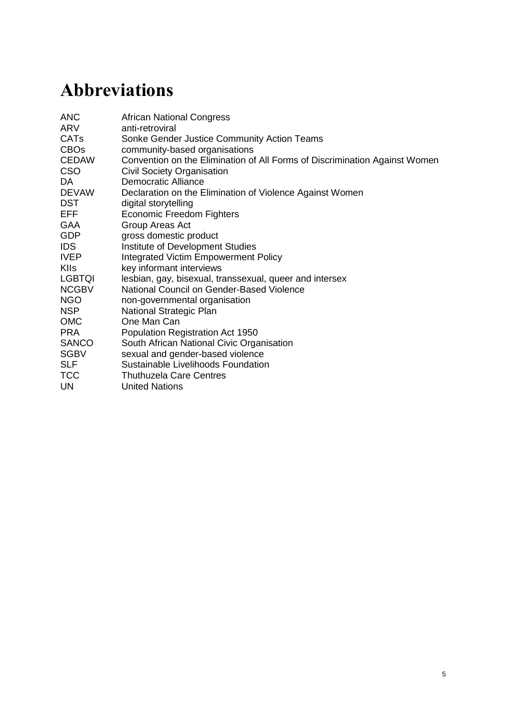## <span id="page-35-0"></span>**7 Discussion**

The case study creates a platform for recasting how we understand 'collective action' and what this means for understanding complex processes of social change towards gender and social justice. It raises questions about how collective action for gender justice contributes to shaping the sociopolitical realities within which citizens and states interact, and what this 'collective' experience really means.

The findings above have been articulated in response to the two main research questions that centred on structural factors that contribute to SGBV, and the actions taken by people, collectively, to address and prevent SGBV. In this discussion, we look across and beyond the research findings, to highlight their relevance to the ongoing work of activists, academics and policymakers as they seek to support effective collective action and foster social and gender justice. A written document relies on a linear presentation of findings, but a far more complex picture has emerged through this research. A 3-D matrix would helpfully show how the edges of the findings meet: it is impossible, for example, to look at the way gender norms interact with violence, without also looking at the work of social movements to reshape these norms and the influence of messages communicated by social institutions and government policies. In this section, we articulate two main overarching conclusions that transect the findings, and locate this study in a broader field of work linked to collective action and gender justice.

South Africa's past is perhaps most visible in the legacy of violence that its citizens continue to embody in their everyday lives. We argue, first, therefore, that it is impossible and even dangerous to delink SGBV, as a very specific form of violence, from the broader dynamics of socioeconomic inequality that still characterises the lives of the majority of South Africa's population. The first section of our findings describes how the persistence of this inequality was inscribed into the very spaces – townships, homes, bodies – in which most of the participants lived. This inequality, and the multiple forms of violence they experienced as a result, was articulated in particular by the community activists with whom we worked. The participants detailed the extent to which racial inequalities, threaded throughout South Africa's history, emerged in the present with ongoing economic struggle in families. A particular set of normative gender roles were articulated, in relation to these structural dynamics. Migration, for instance, was expressed as an action taken by men in order to fulfil expectations that men should be earning money to support their families; the study revealed numerous instances of children losing contact with their fathers because they had left to seek work.

The social ecology theory, developed by Heise (1998), has a core level – the individual – where children with absent fathers supposedly learn to adopt violent behaviour later in their lives. Although the model presents a further three levels where violence can take place (alongside reasons for their occurrence), this view of violence fails to take into account the broader pressures placed on men, and also on women, to ensure that their families can survive economically in a powerfully discriminatory environment. While this study does not seek to dislocate responsibility from individuals committing acts of violence, it does show the value of understanding the context in which multiple and intersecting forms of violence take place. For example, in the case of migration, high levels of unemployment and job migration predominantly affect those people who were racially discriminated against during apartheid; and migration connects to the history of job reservation (constitutionally supported racial discrimination in employment and economic opportunity) (Wolpe 1972), poor public education (Spaull 2013) and enforced migration (Klotz 2013).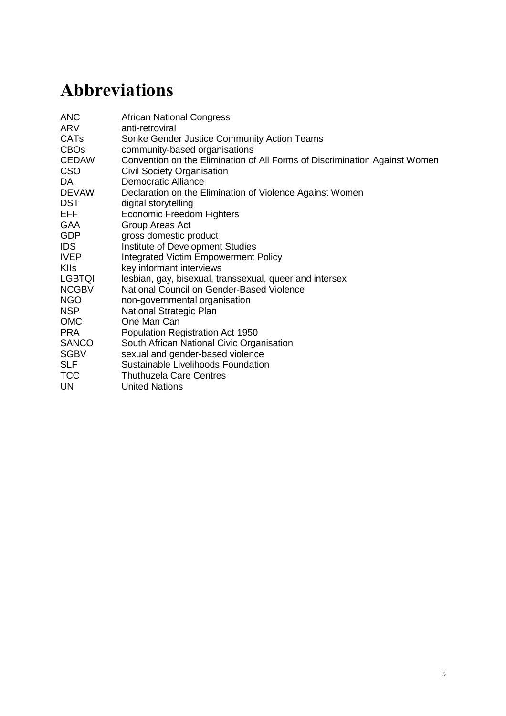Historically, and in the 1990s in particular, initiatives to engage with men on gender were largely based on the problematic notion that there was one dominant (and therefore one oppressive) form of masculinity (Hearn and Morrell 2012). In doing so, many of these initiatives used the idea of hegemonic masculinity to legitimise 'individualistic' theories and interventions that see the problem of violence lying with men's attitudes and behaviours, in a similar way to the 'individual' sphere in social ecology theory. Morrell (1998, 2001), however, first used the concept of 'hegemonic masculinities' to explain multiple forms and dynamics of male power; importantly, these dynamics of male power related, too, to different forms of racial and economic power. Morrell argues that it is therefore possible to intervene in the politics of masculinities. They are constantly being protected and defended, and are constantly breaking down and being recreated.

[A] 'white' masculinity (represented in the political and economic dominance of the white ruling class); an 'African', rurally based masculinity that resided in and was perpetuated through indigenous institutions (such as chiefship, communal land tenure, and customary law) and finally a 'black' masculinity that had emerged in the context of urbanization and the development of geographically separate and culturally distinct African townships.

(Morrell, Jewkes and Lindegger 2012: 13)

Morrell *et al*. (2012) describe how legacies of structural violence in South Africa interact with the construction of hegemonic masculinities and call for a differentiation of kinds of gender power. The findings in this case study show that these gendered norms also perpetuate gender violence perpetrated by women, and that different kinds of men exert violence over other men as a form of power, too. When SGBV is only approached using prevalence and incidence figures, or individual accounts of violence, then structural dynamics of inequality are obscured from view. While this is problematic because it presents a partial picture, it is also dangerous because interventions that are set up to respond to SGBV at an individual level will fail to unpick the tapestry of structural inequality that lies beneath the surface.

The second conclusion of the study, then, relates to the role of institutions and leaders in failing to address, or sometimes in maintaining, structural inequalities that underpin SGBV. These institutions include political institutions, such as government departments and the judicial system, as well as religious institutions and leaders. President Zuma, for instance, was mentioned a number of times in the key informant interviews for modelling a particular kind of masculinity that legitimised forms of sexual violence, such as rape. Participants explained that without providing clear leadership on gender justice, and without transforming government departments to better respond to SGBV, the government would continue to fail in its attempt to promote gender equality. Political institutions, particularly those related to law enforcement, were also described in the study as negligent or ill-equipped to deal with the needs of people experiencing SGBV. The participants in the study described, too, how religious leaders used their power in their religious communities to sanction only heteronormative relationships that were predominantly based on sexist characterisations of men and women's 'roles' within these relationships.

Related to this second main argument is the role of collective actors in calling on leaders and institutions in South Africa to implement measures that can start doing the work of 'unpicking' this interlinked tapestry of inequality and violence. In our case study, in particular, this was explored in relation to the work of a group of NGOs and CSOs working together to call on the government to implement a National Strategic Plan to address SGBV.

Gaventa and McGee's (2010) analysis of citizen and civil society action in national policy reform also helps in understanding the relationship between ordinary citizens – like the community activists with whom we worked – and the organisations and movements they engage with to create responsive and accountable states that can more effectively address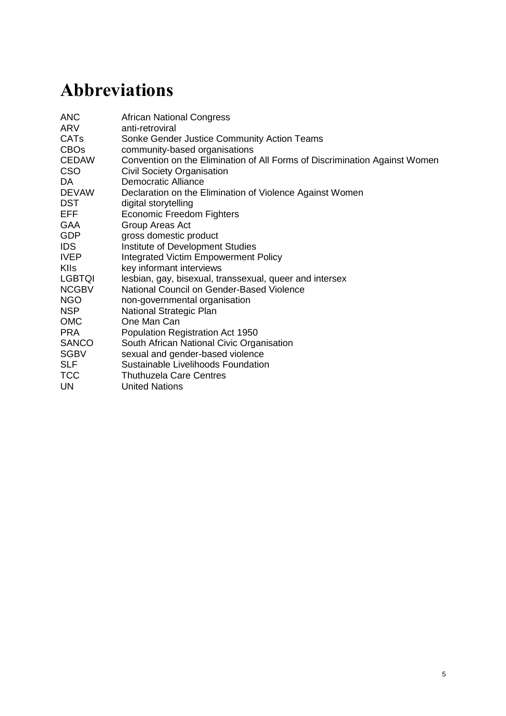poverty, protect rights and tackle social inequalities. They outline the importance of the interaction between state and society in the process of change and of an understanding about how this relationship shapes the capacity and nature of actors in both spaces (Gaventa and McGee 2010). Further, they illustrate that change is enabled through broad coalitions of deeply embedded social actors that both mobilise to drive change and work with political reformers to take up top-down opportunities underpinned by national and international norms and frameworks.

In line with Gaventa and McGee's (2010) analysis of the value of collective action, our findings demonstrate that gender-transformative collective action can provide an opportunity for different actors and organisations to work together across social issues towards change, bringing alliances and partnerships between people and across organisations. Further, approaches that address harmful gender norms in communities also have the potential to transform versions of masculinity that promote violence, and the mechanisms in society that support male dominance and power. Collaborations between organisations and institutions can enable coordination across interventions, engaging different ecological levels and addressing multiple intersecting influences to reduce and prevent violence. As shown through this case study, collectivising and alliance building both within and across spaces of change have the potential to engage the whole social system.

As powerfully articulated by the group of 11 activists through their digital stories and collective analysis, community mobilisation activities to prevent and reduce violence are illustrative of how these 'people-driven' initiatives can address SGBV at multiple levels. In the digital stories, this emerged most strongly in terms of the relationships between individuals, families and communities. Through engaging multiple stakeholders (such as community men and women, youth, religious leaders, police, teachers, and political leaders) in their own geographic and social setting, the activist accounts articulated changes in public discourse, practices, and norms for gender and violence.

The strategies for change outlined within this case study can therefore be framed as gendertransformative approaches, because they seek to change gender roles and create more respectful and egalitarian relationships (Dworkin *et al*. 2013). These initiatives emphasise the full participation of men, whose role is seen as essential in the transformative process. In South Africa, Sonke Gender Justice has been working within these parameters to support men and boys to take action towards gender equality and the prevention of violence and HIV/AIDS. Their initiatives include the One Man Can (OMC) programme that works to achieve these goals by engaging with men and boys in the process of understanding, reflecting on and reconfiguring gender inequalities at the personal level, in their families and communities. OMC workshops also aim to make visible inequalities between men, recognising the history of racial inequalities in South Africa, and deliberately build on the country's legacy of social justice activism and the agency of men and women to effect change (Colvin, Human and Peacock 2009). Dworkin *et al*.'s evaluation shows that the programme works effectively to shift participants' notions about male dominance and violent behaviour (Dworkin *et al*. 2013).

The case study findings, however, also emphasised some of the limits of approaches that seek to engage men and boys in ending gender violence. These concerns relate to the reproduction of the 'men as protector' argument. Researchers and theorists on masculinities studies have made similar arguments about some of the limits to approaches in engaging men and boys for gender equality, both in South Africa (Morrell *et al*. 2013), and internationally. Research in Papua New Guinea (Eves 2010) and Tanzania (Jakobsen 2014), for instance, shows that while it is important to engage with both men and women, and the oppressive structures that reproduce harmful gender norms, there is the risk that feminist concerns about women's rights will be quietly moved to the periphery of the policy agenda (Africa 2010; Freedman and Jacobson 2012) under the clamour to 'engage men and boys'.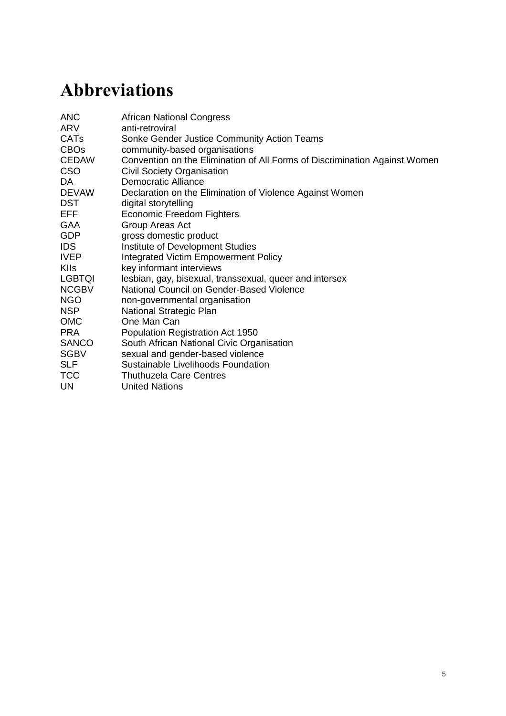Pragmatic limitations to collective action, and to social transformation, were also noted through the case study and relate, specifically, to a lack of funding for those organisations working to provide resources to people affected by SGBV. Most often, it was those same organisations that did not have funding who were doing the work of government departments (and particularly the Departments of Health and Justice) in providing support to survivors of SGBV. The work of civil society organisations, described above, has not only been to provide this basic support but, in South Africa, it has also historically been to call on the government to be accountable to and take greater responsibility for the wellbeing of its citizens.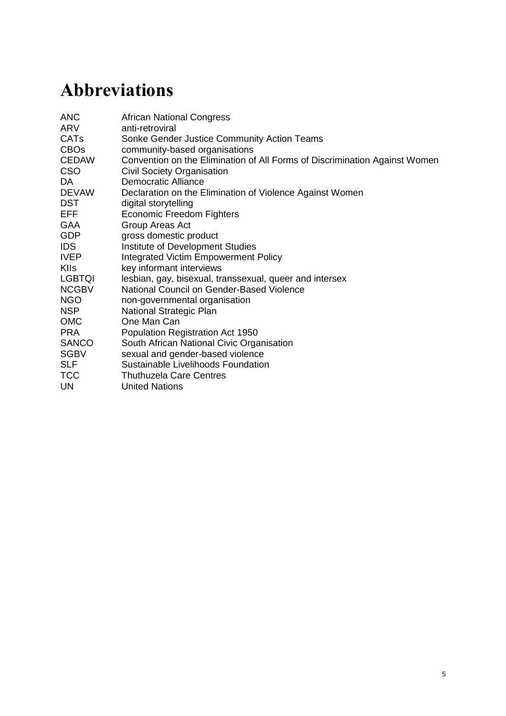## <span id="page-39-0"></span>**8 Conclusion**

By focusing on SGBV in isolation from its wider and deeper context, there is a risk of simultaneously laying the blame and the responsibility for redress on individuals, thus attributing agency for change to individuals, while also making the problem a matter of individual and society pathology. In essence, this shifts the focus away from the actors and institutions that need to be called to account for their role – at a micro- and macro-economic level – in perpetuating inequality and violence.

The porosity of and interaction between the different 'levels' within the social system mean that structural dynamics of inequality become embedded in the norms of families and communities as well as the institutions that govern people's lives. It is therefore important to establish and understand more deeply, as this case study set out to do, the link between collective action and social and political accountability in the process of addressing SGBV. It was found, across the various components of the study, that strategies of collective actors at multiple levels can work to politicise the process of change, making visible the deep-rooted structures of constraint to gender equality. Through this process the national and the local can be linked, thus utilising and deepening democratic systems to promote sustainable strategies to end SGBV, and to transform the context of structural inequality in which it is embedded.

The window for real and significant collaboration, through the utilisation of democratic systems, currently exists as civil society and some government officials seek to bring an SGBV NSP to life. However, as noted throughout this case study, unless there is real galvanising of civil society effort and mobilisation at a local level, this might not be achieved. As noted by stakeholders, both in the interviews and in the stakeholder workshop, it is deeply problematic that the onus lies predominantly with actors engaged collectively to address SGBV, rather than with government departments and policymakers. Not only does this power imbalance fail to recognise the role of political leaders and government institutions in perpetuating damaging messages about sexual and gender norms, it also indicates that the crisis of gender and sexual violence does not warrant serious intervention. Further, by placing the onus on civil society to both call for policy change, and to respond to the challenges emerging from the government's inaction, this approach will also fail to systematically address the very forms of structural violence that reinforce intersecting inequalities. In place of inaction, the case study suggests that what is needed is a government-led fully costed and funded proactive national plan that places positive prevention, accountability and transparency front and centre.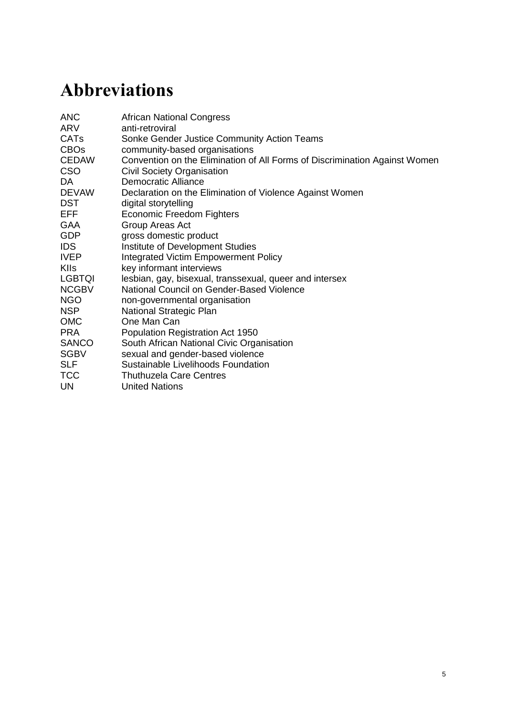## <span id="page-40-0"></span>**9 Policy and practice recommendations**

## <span id="page-40-1"></span>**9.1 Citizens' initiatives and social activism**

- It is important to recognise informal ways of collective action in people's lived realities. Continued work is needed with communities to understand their innovations in addressing gender inequalities and to mobilise this knowledge into policymaking.
- Collective action (informal and formal) does not necessarily translate into a 'gender transformative' collective or movement; citizens and affiliated organisations need to invest in the work of gender equality. In doing so the political power dynamics of challenging patriarchal privilege must be recognised.
- Working with citizens to develop and share practical legal knowledge about their rights, and avenues for recourse and resources on SGBV is crucial to enable them to shape and hold accountable the policies and programmes that affect their lives.
- Sustainability of collective action in ending SGBV at the community level is important; more understanding is needed on what drives citizen action, enables ownership of the process of change, and the resources needed to support this.
- A focus on mobilisation has highlighted the significance of engaging with men and women in positions of power and holding them to account in their responsibilities for working to end SGBV; as power holders in these contexts, men have an important role to play in holding each other accountable on gender equality.

## <span id="page-40-2"></span>**9.2 Civil society partnerships**

- <span id="page-40-3"></span> Partnerships across social movements working for gender equality – engaging men, women, LGBTQI persons – are important for accountability within movements. Furthermore, these relationships can enable collaborative learning on gender issues and help ensure a collective response to SGBV that promotes social justice for all.
- A clear vision and purpose needs to be built for gender transformative collective action. Where this reflects a partnership between state, social actors and citizens, then possibilities of accountability and work to enable citizen action and rights claims at the local level will be strengthened.
- Civil society needs to develop clearer strategies and policies for mediating and linking across actors to strengthen networked ways of working to address SGBV across multiple levels and social and political spaces.

## **9.3 Government institutions**

- <span id="page-40-4"></span> Recognising citizens and civil society organisations as effective partners in ending SGBV, working collaboratively to support policy reform on the issue of SGBV, and importantly in enabling effective implementation.
- Political decision-makers and champions are critical for driving institutional change. Entrenched patriarchy in political and religious institutions needs to be challenged in order for these institutions to more effectively address the root causes of SGBV.
- Multi-sectoral consultations and citizen participation are required to develop and implement a fully-costed and funded National Strategic Plan to end SGBV that aims to fill the existing gaps in: laws and policies, services for survivors of SGBV, funding for strategies that prevent violence, and oversight and impact mechanisms.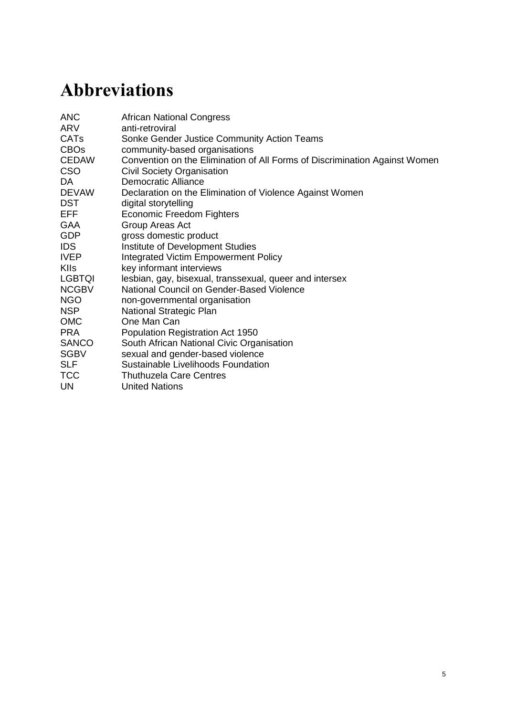The government needs to make information on SGBV funding more transparent (including funding criteria, recipients and budgets). Ideally, this information should also be made available retrospectively, for organisations to be in a better position to lobby national and international donors for funding.

## **9.4 International community**

- <span id="page-41-0"></span>• International donor agencies must meaningfully engage in learning from specific country contexts, to develop agendas on SGBV that can be sensitively, and effectively, implemented.
- The international community can play a role in 'the collective', as part of a global alliance that supports and enables national-level, contextualised responses to SGBV.
- Using the effective work being done by collective actors at local and national levels to contribute to the global dialogue and frameworks on ending SGBV.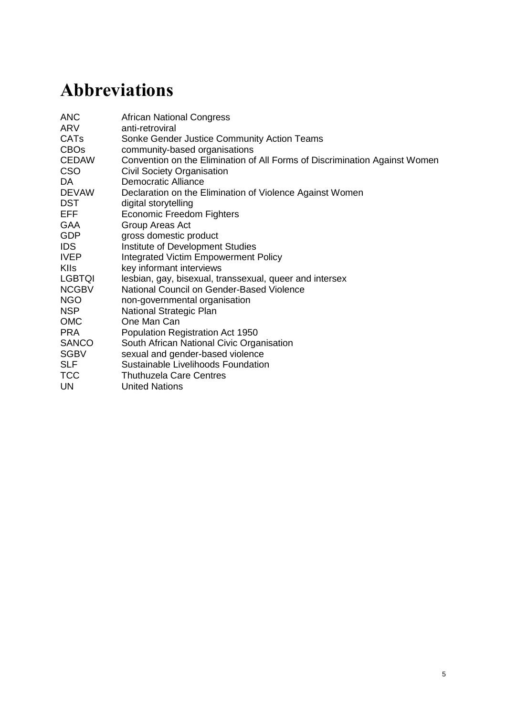## **Annex 1 Map of community activists' engagement in the research**

| <b>Research</b><br>component          | <b>Date</b>     | <b>Duration</b>      | <b>Participants</b>       | <b>Research activities</b>                                                                                                                                                                                                                                                                                                                                                                                                                                                                                                                                                                                                                                  |
|---------------------------------------|-----------------|----------------------|---------------------------|-------------------------------------------------------------------------------------------------------------------------------------------------------------------------------------------------------------------------------------------------------------------------------------------------------------------------------------------------------------------------------------------------------------------------------------------------------------------------------------------------------------------------------------------------------------------------------------------------------------------------------------------------------------|
| Digital<br>storytelling<br>process    | July<br>2014    | 5 days               | 11 community<br>activists | Community activists participated in a<br>learning, creating and sharing<br>experience supported by technology<br>called digital storytelling (DST). DST<br>allows participants to share aspects of<br>their life story through the creation of<br>their own short digital media<br>production.                                                                                                                                                                                                                                                                                                                                                              |
| Key<br>informant<br>interviews        | August<br>2014  | 1 hour per<br>person | 2 community<br>activists  | Two community activists, one man one<br>woman, from different communities,<br>affiliated to different activist<br>organisations with a focus on LGBTQI<br>and men and gender equality issues<br>were interviewed alongside key<br>stakeholders on the issue of SGBV,<br>and their involvement in collective<br>action. This ensured that the voices of<br>those living with violence and taking<br>action in Cape Town's marginalised<br>contexts were given space to share<br>their perspectives on the issues being<br>explored by wider civil society<br>networks.                                                                                       |
| Collective<br>story/power<br>analysis | October<br>2014 | 3 days               | 9 community<br>activists  | Community activists were engaged in<br>a facilitated workshop over three days<br>that used creative and visual methods<br>to analyse their digital stories<br>individually and collectively in relation<br>to the wider social, political context in<br>which their stories were embedded.<br>The nature of their individual and<br>collective power in affecting change<br>was of particular emphasis and<br>provided a transition into<br>understanding their relationship with<br>others in addressing SGBV. This<br>process concluded with the<br>development of key messages on<br>strategies for change in addressing<br>SGBV under three key themes. |

(Cont'd.)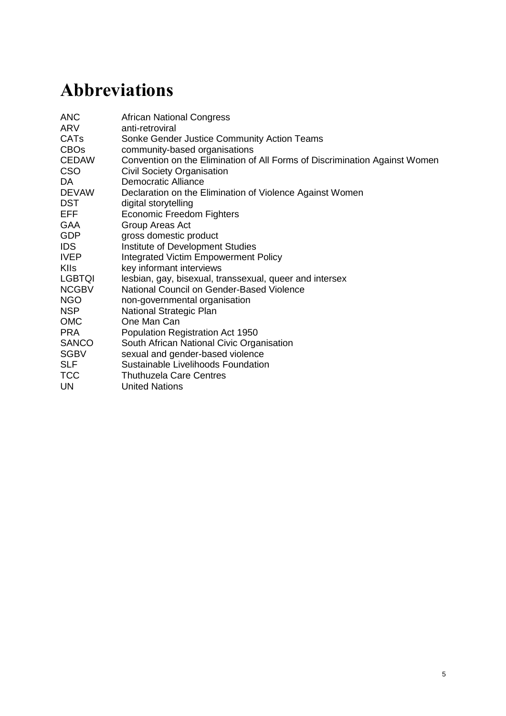| Stakeholder<br>policy<br>dialogue | October<br>2014  | 1 day | 8 community<br>activists | The policy dialogue workshop provided<br>a space for community activists to<br>catalyse knowledge and learning with<br>a wider stakeholder audience on the<br>issue of SGBV and how it should be<br>addressed. Three digital stories were<br>shared by the activists, complemented<br>by the key messages developed in the<br>collective power analysis workshop.<br>This process helped to ensure that the<br>policy dialogue remained grounded in<br>the lived realities of people living in<br>poverty and marginalisation and a<br>process of mutual learning was<br>catalysed between the community<br>activists and wider civil society<br>participants. Community activists then<br>engaged in the policy dialogue as<br>participants sharing their knowledge in<br>this forum. |
|-----------------------------------|------------------|-------|--------------------------|----------------------------------------------------------------------------------------------------------------------------------------------------------------------------------------------------------------------------------------------------------------------------------------------------------------------------------------------------------------------------------------------------------------------------------------------------------------------------------------------------------------------------------------------------------------------------------------------------------------------------------------------------------------------------------------------------------------------------------------------------------------------------------------|
| Advocacy<br>planning<br>workshop  | November<br>2014 | 1 day | 9 community<br>activists | An advocacy planning workshop was<br>held with the community activists at<br>The Wellness Centre in Khayelitsha, a<br>location where they meet to plan their<br>activism and organising. Participants<br>were given support to plan how they<br>would use their learning from being<br>involved in this case study to enhance<br>their activism, and also to identify the<br>resources necessary for this. Support<br>was provided by Sonke Gender Justice<br>to take this action planning forward.                                                                                                                                                                                                                                                                                    |
| Research<br>analysis              | November<br>2014 | N/A   | Researchers              | All components of the community<br>engagement process were analysed<br>in-depth as primary data for this case<br>study. This included both visual and<br>text materials.                                                                                                                                                                                                                                                                                                                                                                                                                                                                                                                                                                                                               |

## **Annex 1 (cont'd.)**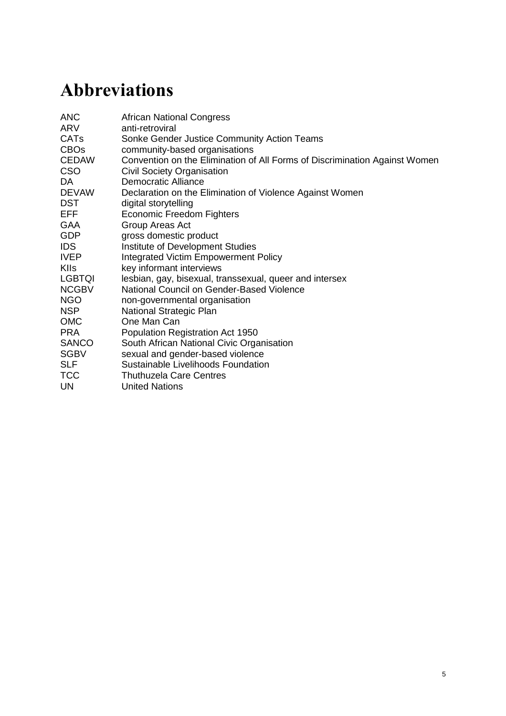## <span id="page-44-0"></span>**Annex 2 Key informant interview schedule**

SLF, Sonke Gender Justice and IDS case study on the role of men and boys, and collective action, in addressing sexual and gender-based violence (SGBV).

#### **0. Introduce study and consent form**

*This is brief and situates the KII in the wider study, and in relation to the DST process and the stakeholder dialogue. Please check that the interviewee is happy to have the interview audio-recorded.*

#### **1. Individual motivations for engaging on gender justice**

*This focus area draws on a life history approach: this enables us to understand perceptions and attitudes from the key informant, helping us to appreciate their ideology and narrative of change.*

- 1.1 Tell us about yourself, the work that you do and why you do it.
- 1.2 Can you tell us about any important moments that contribute to your engagement with the issue of sexual and gender-based violence over the past ten years of your experience?
	- a) How do these moments relate to you personally?

#### **2. The factors that inform intersecting inequalities and that specifically manifest as sexual and gender-based violence**

*This focus area looks at the structural drivers of SGBV. Understanding the structures of constraint to gender equality and that perpetuate SGBV, specifically the intersecting inequalities that underpin the social, political and economic context of South Africa.*

- 2.1 Can you explain how men and women experience violence?
	- a) What shapes and forms does this violence come in?
	- b) How do different attitudes and behaviours affect violence?
	- c) Are there specific groups that are more affected by violence than others?
	- d) What is specific to the rural/urban context?
- 2.2 How has your understanding of the issue of sexual and gender-based violence changed over the past ten years of your experience? How and why?
- 2.3 What drives the violence that men and women experience in South Africa?

#### **3. Existing interventions to address sexual and gender-based violence (at community, organisational, provincial, national levels)**

- 3.1 What's being done in your organisation/community (see what's applicable) to address gender-based violence?
- 3.2 What are the most significant interventions or processes addressing sexual and gender-based violence?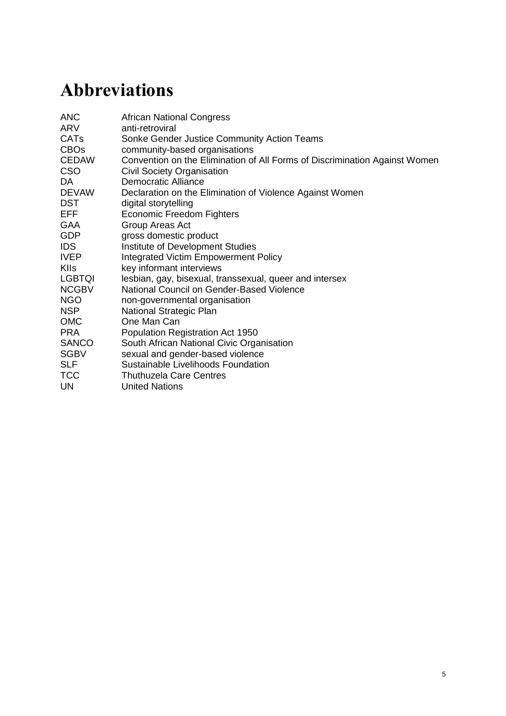- a) Who's benefiting?
- b) Who is being reached? Who is not?
- c) How are attitudes and behaviours being engaged to address sexual and gender-based violence?
- d) How are the rights of those who experience SGBV being fulfilled? Are people aware of their rights, and are they claiming them?
- 3.3 What change have you seen as a result of these interventions?
- 3.4 Who are the key partners that have worked with you and your organisation to address these kinds of violence?
- 3.5 Who do you think is responsible for addressing sexual and gender-based violence in South Africa and why do you think this?
	- a) What is the role of government? What can the government be doing differently?
- 3.6 What are the key policies (or policy areas) that you feel have influenced or hindered this response?

#### **4. Specific interventions that engage with men and boys, the role of collective action and how and why they work, or don't work**

- 4.1 What is the role of men and boys in addressing SGBV?
- 4.2 What kinds of strategies have been developed or employed to engage men in addressing SGBV?
	- a) What has worked well? Why?
	- b) What has worked less well? Why?
	- c) Who were the people, groups or organisations involved in this process?
	- d) What has changed?
- 4.3 What factors have influenced men's involvement in addressing SGBV issues?
- 4.4 Where have men engaged collectively (in alliances/movements) to address SGBV? What has/has not worked in this strategy? Why?
	- a) How can this be strengthened?

#### **5. Current and future priorities for working with men and boys to address SGBV**

- 5.1 What is your vision for change in addressing sexual and gender-based violence?
- 5.2 What will contribute to this being realised?
- 5.3 What is the role of collective action in this vision?
- 5.4 What would you advise the government to do differently to realise this vision?

#### **6. Revisit consent form to ensure participant is happy with their representation**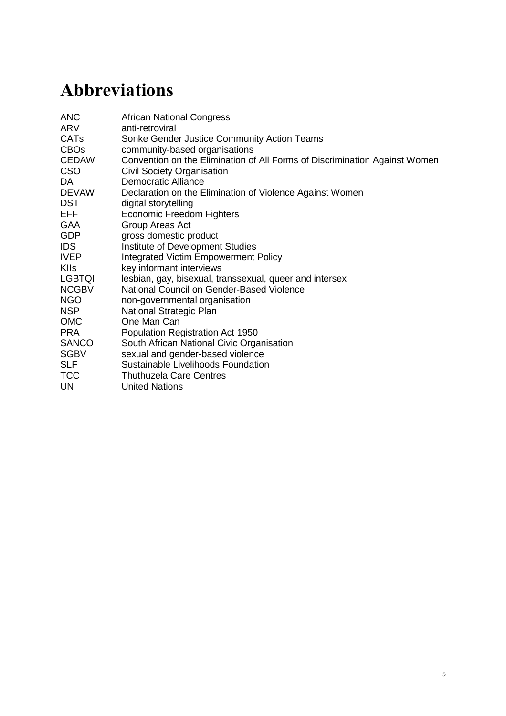## <span id="page-46-0"></span>**Annex 3 Participatory and qualitative consent forms**

## **Digital storytelling consent form**

#### Dear

Thank you for working with us, and for sharing your knowledge and your life stories over the past few months. We have learnt so much from you. We want to make sure that you are comfortable with where we reflect on your life stories and your work. So we have made this document as a written agreement to only use your stories where you are comfortable with them being used. This agreement is between the organisations (SLF, Sonke and IDS) and yourself.

Please circle 'yes/no/maybe' to help us to understand how you feel about the different spaces where your story might be used, and we will both sign this to show our agreement. If you change your mind at any point, please contact Sonke who will make sure this agreement is updated. There are five spaces where the stories can be used.

- 1. In your family. This is for you to decide.
- 2. In your organisation. This is for you to decide with them.
- 3. Do you want your story to be shown in the stakeholder dialogue workshop on Monday?
	- a) In the official workshop?
	- **Yes / No / Maybe**
	- b) In an informal process in the side room, on a loop? **Yes / No / Maybe**
- 4. In a report that shares our learning on how people are working to address gender-based violence in South Africa and around the world
	- a) Are you ok for some of your life story to be shared in a report? **Yes / No / Maybe**
	- b) Do you want your name changed? **Yes / No / Maybe**
- 5. In the research project website. This is to share with people that are interested in learning from you. We need to think about:
	- a) Would you like your digital stories to be shown on this website? **Yes / No / Maybe**

By signing below, IDS/Sonke and SLF commit to ensuring that your stories are used in the ways you have told us here:

\_\_\_\_\_\_\_\_\_\_\_\_\_\_\_\_\_\_\_\_\_\_\_\_\_\_\_\_\_\_\_\_\_\_ Name and Signature

By signing below, you indicate that you are comfortable with this agreement about where your stories will be used:

Name and Signature

\_\_\_\_\_\_\_\_\_\_\_\_\_\_\_\_\_\_\_\_\_\_\_\_\_\_\_\_\_\_\_\_\_\_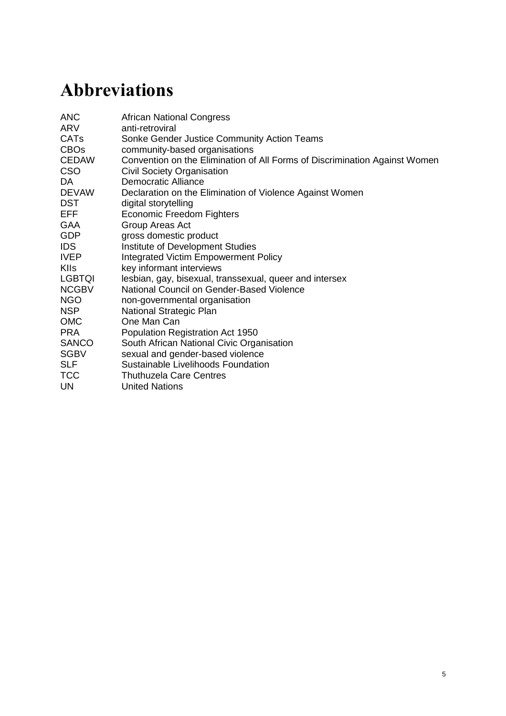## **Key informant interview consent form**

**Collective action with men and boys against gender-based violence in South Africa**

#### **Consent form to participate in the study**

#### **STUDY DESCRIPTION (AIMS, CONTEXT AND OUTCOMES OF STUDY)**

This study aims to explore – through an in-depth case study – where men play or have played significant roles in relation to sexual and gender-based violence (SGBV) in South Africa. In turn, this is intended to help improve information access and to inform strategies of relevant actors (incl. activists and policymakers) addressing this issue, with meaningful involvement of men and boys, and to facilitate the forging and strengthening of strategic alliances for gender justice to address SGBV. In addition to South Africa, similar projects are or will be conducted in five other countries, incl. Egypt, Uganda, India, South Africa and Sierra Leone.

In all countries the work is funded by the UK Department for International Development (DFID). The project is conducted by the Institute of Development Studies (IDS) UK, the Sustainable Livelihoods Foundation (SLF) and Sonke Gender Justice (Sonke).

We are not employed by DFID or any other government or funding organisation.

#### **INFORMATION ON CONSENT**

We are asking: *'Would you agree to participate in this research by answering some questions in an individual interview or in a group discussion?'*

#### **LIST OF RESEARCHER AGREEMENTS**

- You are under *no obligation to agree* or to give up your time.
- You are also *free to stop* answering the questions and (/ask us) to leave at any point.
- If you are agreeable, you can *decide whether you want what you say to be kept anonymous* (the latter case in which we would not link your name to your comments in the study report).
- If you do not mind letting us link your name to your statements, you can choose for us to use just your first name or your full name.
- All documentation *notes are kept confidential* (i.e. we keep the notes and papers documenting the learning safely and nobody else has access to them).
- If you are HIV-positive or a survivor of violence and you choose to tell us of your status, this information will be kept strictly confidential, unless you expressly indicate otherwise.

Please ask us/me for more explanation now if there are any points that you are unsure about.

#### **I agree to participate in the study: Signature/thumbprint: Signature of Documenter:**

#### \_\_\_\_\_\_\_\_\_\_\_\_\_\_\_\_\_\_\_\_\_\_\_ \_\_\_\_\_\_\_\_\_\_\_\_\_\_\_\_\_\_\_\_\_\_\_ **Date:**

#### **Tick as appropriate:**

- $\Box$  I do not mind if my first name and surname are linked to my comments
- $\Box$  I do not mind if my first name is linked to my comments
- $\Box$  I do not mind if this interview is audio-recorded
- $\Box$  I wish to remain anonymous
- $\Box$  Other please tell us how you would like to be quoted/referred to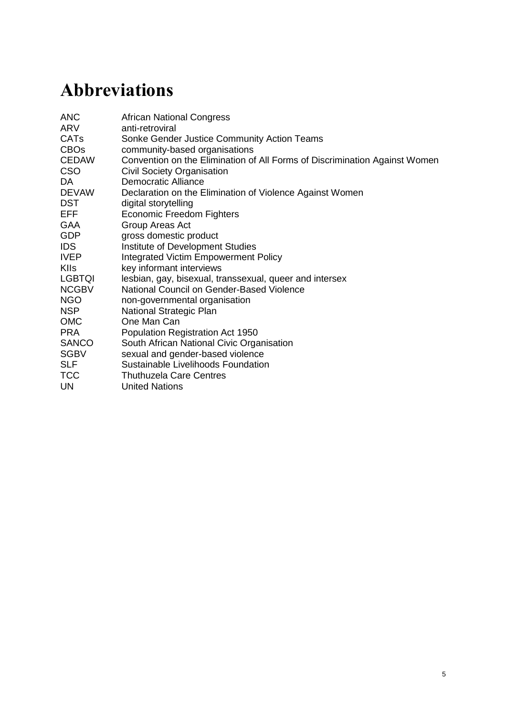# <span id="page-48-0"></span>**Annex 4 Analytical framework**

| <b>Analytical area</b>                                                                                                                              | Analytical sub-questions - to ensure<br>parity in analysing the data                                                                            | <b>Explanation of</b><br>analysis                                                                                                                                                           |  |
|-----------------------------------------------------------------------------------------------------------------------------------------------------|-------------------------------------------------------------------------------------------------------------------------------------------------|---------------------------------------------------------------------------------------------------------------------------------------------------------------------------------------------|--|
| 1. Structural drivers<br><b>Research question:</b><br>What are the                                                                                  | 1. How are discriminatory norms and<br>attitudes expressed in people's lives,<br>in their families, communities,<br>institutions and societies? | Here we want to<br>distinguish between<br>discriminatory practices<br>experienced by                                                                                                        |  |
| structural drivers<br>(social, political,<br>economic) that<br>contribute to people's<br>experience of                                              | 2. What kinds of inequality did the<br>participants experience or reflect on?<br>How did this affect the kind of<br>violence they experienced?  | individuals and<br>structures of inequality<br>that shape these<br>experiences in the<br>contexts in which<br>people live.                                                                  |  |
| inequality (race, class,<br>sexuality, age) leading                                                                                                 | 3. What social factors reinforce/underpin<br>sexual and gender violence?                                                                        |                                                                                                                                                                                             |  |
| to sexual and gender-<br>based violence?                                                                                                            | What economic factors<br>$4_{-}$<br>reinforce/underpin sexual and gender<br>violence?                                                           |                                                                                                                                                                                             |  |
|                                                                                                                                                     | 5. What political factors reinforce sexual<br>and gender violence?                                                                              |                                                                                                                                                                                             |  |
|                                                                                                                                                     | What forms of gender-based violence<br>6.<br>were raised in the data?                                                                           | Please specify, if<br>possible, using the<br>words of the participant.                                                                                                                      |  |
|                                                                                                                                                     | 7. What forms of sexual violence were<br>raised in the data?                                                                                    | Please specify, if<br>possible, using the<br>words of the participant.                                                                                                                      |  |
| 2. Agency and<br>collective action<br><b>Research question:</b>                                                                                     | 1. How have people experienced and<br>expressed individual agency to<br>address SGBV?                                                           | How does this relate to<br>their power 'within' and<br>power 'to act'?                                                                                                                      |  |
| How do (i) personal<br>agency and (ii)<br>collective political<br>actions (public,<br>institutional, etc)<br>interact to engage<br>certain kinds of | What things have enabled people to<br>2.<br>take individual action?                                                                             | This will help us<br>understand 'what<br>works' for generating<br>recommendations to<br>support individual and<br>collective action to<br>address SGBV.                                     |  |
| processes to prevent<br>and address SGBV?                                                                                                           | What influences have constrained<br>3.<br>people's capacity to take individual<br>action?                                                       | How people's<br>experience of their<br>gender identity, sexual<br>orientation, class,<br>ethnicity and age, for<br>example, affect their<br>ability to claim civil and<br>political rights. |  |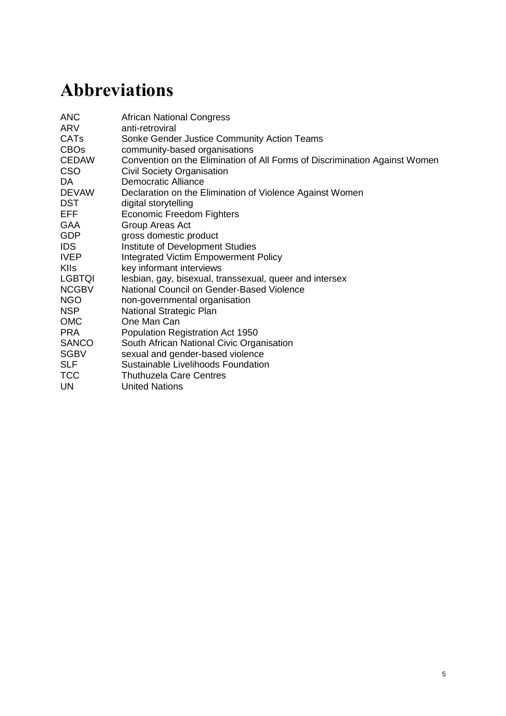## **Annex 4 (cont'd.)**

| 2. Agency and<br>collective action<br>(cont'd.) |  | 4. How have people experienced and<br>expressed collective action to address<br>SGBV?                                                                                                                                                                     | Forms of collective<br>action are important<br>here.                                                                                                                     |
|-------------------------------------------------|--|-----------------------------------------------------------------------------------------------------------------------------------------------------------------------------------------------------------------------------------------------------------|--------------------------------------------------------------------------------------------------------------------------------------------------------------------------|
|                                                 |  | What was the role of men in this?                                                                                                                                                                                                                         |                                                                                                                                                                          |
|                                                 |  | 5. What factors enabled collective<br>action?                                                                                                                                                                                                             |                                                                                                                                                                          |
|                                                 |  | 6. What factors constrained collective<br>action?                                                                                                                                                                                                         |                                                                                                                                                                          |
|                                                 |  | 7. When acting collectively, how did<br>individuals express their agency?<br>What enabled and constrained this?<br>What was the role of men in this?                                                                                                      | The nature of the<br>'space' in<br>organisational/collective<br>action influences<br>people's action.                                                                    |
|                                                 |  | 8. What kind of impact was reported by<br>individuals about their own, and/or<br>their organisations', ability to<br>challenge the social, economic and<br>political factors that contribute to<br>SGBV?<br>What was the role of men in these<br>actions? |                                                                                                                                                                          |
|                                                 |  | 9. How are individual and collective<br>actions to address SGBV challenging<br>social, economic and political<br>inequalities?                                                                                                                            |                                                                                                                                                                          |
|                                                 |  | 10. Where does responsibility lie in<br>preventing and addressing sexual and<br>gender-based violence? How is this<br>responsibility articulated?                                                                                                         |                                                                                                                                                                          |
|                                                 |  | 11. What is the state's role in preventing<br>and addressing sexual and gender-<br>based violence? What action is being<br>taken? How does this relate to<br>collective action?                                                                           | To understand the<br>state's role in relation to<br>rights and<br>responsibilities, and<br>how this interacts with<br>collective action, and<br>people's everyday lives. |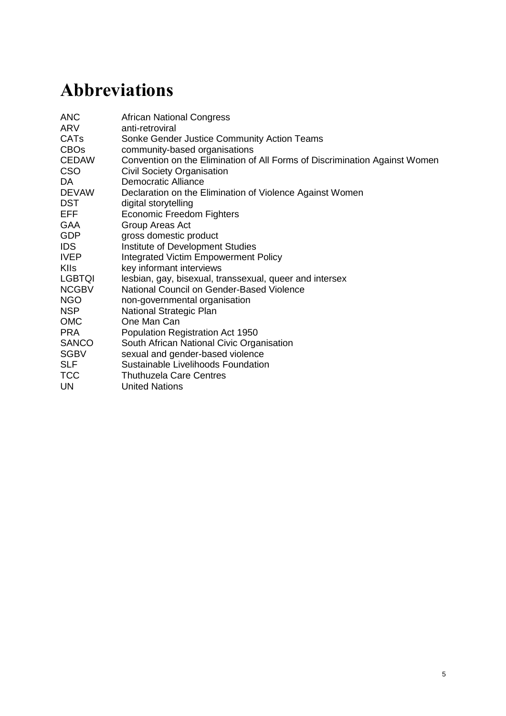## <span id="page-50-0"></span>**References**

Abah, O.S.; Okwori, J.Z. and Alubo, O. (2009) 'Participatory Theatre and Video: Acting against Violence in Northern Nigeria', *IDS Bulletin* 40.3: 19–26

Abrahams, N.; Jewkes, R.; Martin, L.J.; Mathews, S.; Vetten, L. and Lombard, C. (2009) 'Mortality of Women from Intimate Partner Violence in South Africa: A National Epidemiological Study', *Violence and Victims* 24: 546–56

Africa, A. (2010) 'Standpoint: "Murderous women"? Rethinking Gender and Theories of Violence', *Feminist Africa* 14: 79–92

Beinart, W. (2001) *Twentieth-Century South Africa*, Oxford: Oxford University Press

Beinart, W. (1995) *Segregation and Apartheid in Twentieth Century South Africa*, London and New York: Taylor & Francis

Benjamin, J.A. and Murchison, L. (2004) *Gender-based Violence: Care and Protection of Children in Emergencies—A Field Guide*, London: Save the Children

Bograd, M. (1999) 'Strengthening Domestic Violence Theories: Intersections of Race, Class, Sexual Orientation, and Gender', *Journal of Marital and Family Therapy* 25: 275–89

Bourdieu, P. (2001) 'Structure, Habitus, Practice', in P. Erickson and I. Murphy (eds), *Readings for a History of Anthropological Theory*, Ontario: Broadview Press

Bowman, C.G. (2002) 'Theories of Domestic Violence in the African Context', *American University Journal of Gender, Social Policy and the L*a*w* 11: 847

Bowman, C.G. and Schneider, E.M. (1998) 'Feminist Legal Theory, Feminist Lawmaking, and the Legal Profession', *Fordham Law Review* 67: 249

Butler, J. (2009) 'Performativity, Precarity and Sexual Politics', *Antropólogos Iberoamericanos en Red (AIBR)*, *Revista de Antropología Iberoamericana* 4.3: i–xiii

Butler, J. (2004) *Precarious Life: The Powers of Mourning and Violence*, London and New York: Verso

Charmaz, K. (2002) 'Qualitative Interviewing and Grounded Theory Analysis', in J.F. Gubrium and J.A. Holstein (eds), *Handbook of Interview Research: Context and Method,* London: Sage

Charmaz, K. (1995) 'Grounded Theory', in J. Smith *et al*. (eds), *[Rethinking Methods in](http://books.google.com/books?vid=ISBN9780803977334&printsec=titlepage#v=onepage&q&f=false)  [Psychology](http://books.google.com/books?vid=ISBN9780803977334&printsec=titlepage#v=onepage&q&f=false)*, London: Sage

City of Cape Town (2011) *Census Suburb Profiles, Delft, Philippi, Khayelitsha, Nyanga, Gugletu*, www.capetown.gov.za/en/stats/Pages/2011-Census-Suburb-Profiles-land.aspx (accessed December 2014)

City of Cape Town (2008) *Number of Informal Dwellings Units*, www.capetown.gov.za/en/stats/Documents/Informal%20Dwellings.htm (accessed December 2014)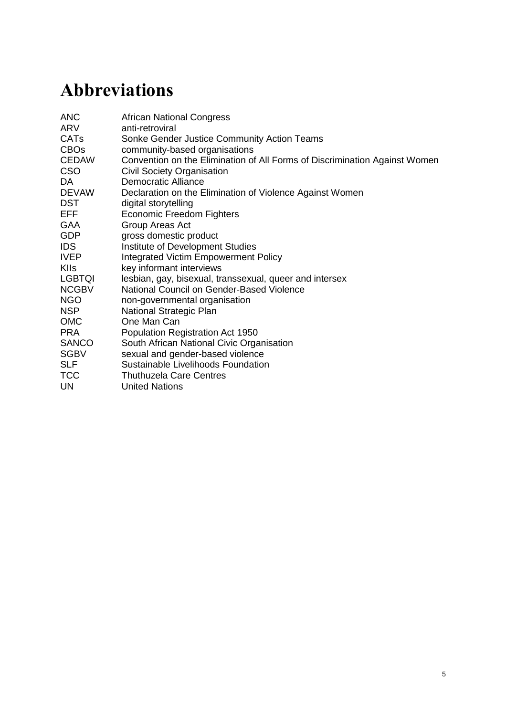Colvin, C.; Human, O. and Peacock, D. (2009) *Report on Formative Research Conducted for Sonke Gender Justice Network's 'One Man Can' Campaign*, South Africa: Sonke Gender Justice Network

Corbin, J. and Strauss, A. (1990) 'Grounded Theory Research: Procedures, Canons, and Evaluative Criteria', *Qualitative Sociology* 13.3: 21

Cornwall, A.; Harrison, E. and Whitehead, A. (2007) 'Gender Myths and Feminist Fables: The Struggle for Interpretive Power in Gender and Development', *Development and Change* 38: 1–20

Coughtry, S.E. (2011) 'Patriarchy and the Trap of Masculinity: A Post-Colonial Analysis of Violence against Sexual Minorities in Uganda', MA thesis, Smith College, Northampton, MA

Dunkle, K.; Jewkes, R.; Murdock, D.; Sikweyiya, Y. and Morrell, R. (2013) 'Prevalence of Consensual Male–Male Sex and Sexual Violence, and Associations with HIV in South Africa: A Population-based Cross-Sectional Study', *PLoS Med* 10.6

Dworkin, S.; Hatcher, A.; Colvin, C. and Peacock, D. (2013) 'Men's Perceptions of Women's Rights and Changing Gender Relations in South Africa: Lessons for Working With Men and Boys in HIV and Antiviolence Programs', *Gender and Society* 26: 97–120

Esplugues, J.; Marmolejo, I.; García Esteve, J. and Martínez Sánchez, P. (2006) *Third International Report: Partner Violence against Women Statistics and Legislation*, Valencia: Instituto Centro Reina Sofia, Valencian International University, www.luisvivesces.org/upload/88/18/informe.pdf (accessed 22 January 2015)

Eves, R. (2010) 'Masculinity Matters: Men, Gender-based Violence and the AIDS Epidemic in Papua New Guinea', in V. Luker and S. Dinnen (eds), *Civic Insecurity: Law, Order and HIV in Papua New Guinea,* Canberra, Australia: The Australian National University Press

Farmer, P. (2001) *Infections and Inequalities: The Modern Plagues*, Los Angeles, CA: University of California Press

Fassin, D. (2007) *When Bodies Remember: Experiences and Politics of AIDS in South Africa*, Los Angeles, CA: University of California Press

Freedman, J. and Jacobson, S. (2012) 'Masculinities, Gender, and Violence', in J. Freedman (ed), *Engaging Men in the Fight against Gender Violence: Case Studies from Africa*, Ebook: Palgrave Macmillan, www.palgraveconnect.com/pc/doifinder/10.1057/9781137014740.0001 (accessed December 2014)

Galtung, J. (1969) 'Violence, Peace, and Peace Research', *Journal of Peace Research* 6: 167–91

Gaventa, J. and McGee, R. (2010) *Citizen Action and National Policy Reform*, London: Zed Books

GCIS (Government Communication and Information System) (n.d.) www.gcis.gov.za/sites/www.gcis.gov.za/files/Insight-Gender%20Equality\_issue5.pdf (accessed 26 January 2015)

Geertz, C. (2001) *Available Light: Anthropological Reflections on Philosophical Topics*, Princeton, NJ: Princeton University Press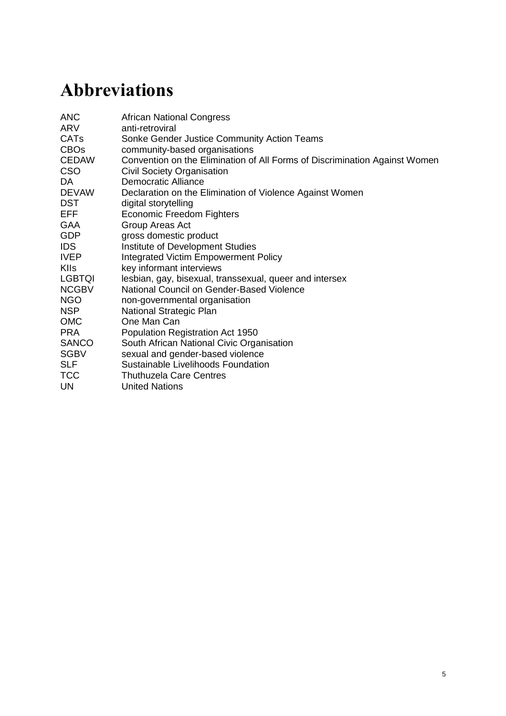Geertz, C. (1994) 'Thick Description: Toward an Interpretive Theory of Culture', in M. Martin and L. McIntyre (eds), *Readings in the Philosophy of Social Science,* Cambridge, MA: MIT Press

GenderLinks (2014) *The Gender-based Violence Indicators Study: Western Cape Province of South Africa*, South Africa: GenderLinks

Glaser, B. and Strauss, L. (1973) *The Discovery of Grounded Theory: Strategies for Qualitative Research*, Chicago, IL: Aldine

Hansen, T.B. and Stepputat, F. (2009) *Sovereign Bodies: Citizens, Migrants, and States in the Postcolonial World*, Princeton, NJ: Princeton University Press

Hearn, J. and Morrell, R. (2012) 'Reviewing Hegemonic Masculinities and Men in Sweden and South Africa', *Men and Masculinities* 151: 3–10

Heise, L.L. (1998) 'Violence against Women: An Integrated, Ecological Framework', *Violence Against Women* 4: 262–90

Holtzworth-Munroe, A. and Stuart, G.L. (1994) 'Typologies of Male Batterers: Three Subtypes and the Differences among Them', *Psychological Bulletin I* 16.3: 476–97

Hooks, B. (2000) *Feminist Theory: From Margin to Center,* Chicago: Pluto Press

Htun, M. and Weldon, S.L. (2012) 'The Civic Origins of Progressive Policy Change: Combating Violence against Women in Global Perspective, 1975–2005', *American Political Science Review* 106: 548–69

Hunnicutt, G. (2009) 'Varieties of Patriarchy and Violence against Women: Resurrecting "Patriarchy" as a Theoretical Tool', *Violence Against Women* 15.5: 553–73

IJR (Institute of Justice and Reconciliation) (2014) *Reconciliation Barometer Survey: 2014 Report. Reflecting on Reconciliation: Lessons from the Past, Prospects for the Future,* South Africa: Institute of Justice and Reconciliation

ILO (International Labour Organization) (2012) *Global Employment Trends for Women*, Geneva: International Labour Organization

Jakobsen, H. (2014) 'What's Gendered about Gender-based Violence? An Empirically Grounded Theoretical Exploration from Tanzania', *Gender and Society* 28.4: 537–61

Jewkes, R.; Levin, J. and Penn-Kekana, L. (2002) 'Risk Factors for Domestic Violence: Findings from a South African Cross-Sectional Study', *Social Science and Medicine* 55: 1603–17

Jewkes, R.K.; Sikweyiya, Y.; Morrell, R. and Dunkle, K. (2009) 'Understanding Men's Health and Use of Violence: Interface of Rape and HIV in South Africa', *MRC Policy Brief,* Cape Town, South Africa: South African Medical Research Council

Jones, R.B. (2011) 'Development of Feminist Postcolonial Theory', in R.B Jones (ed), *Postcolonial Representations of Women,* Heidelberg: Springer Netherlands

Keeley, J. and Scoones, I. (2003) *Understanding Environmental Policy Processes: Cases from Africa*, London: Earthscan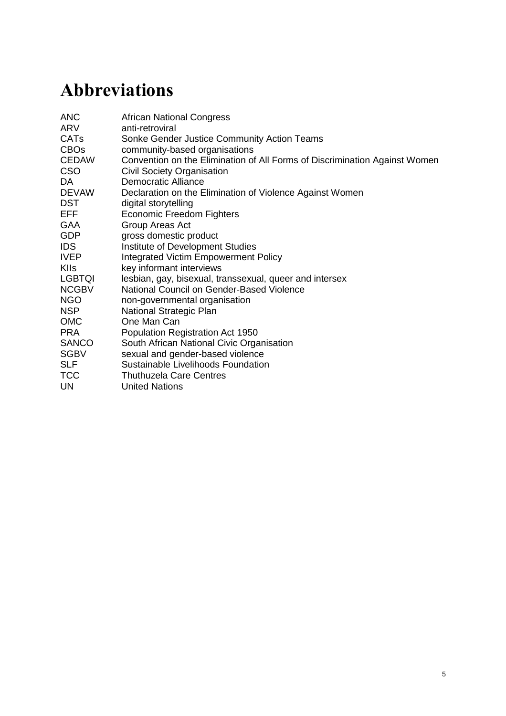Kimmel, M. (2002) '"Gender Symmetry" in Domestic Violence: A Substantive and Methodological Research Review', *Violence Against Women* 8.11: 1332–63

Klotz, A. (2013) *Migration and National Identity in South Africa, 1860–2010*, Cambridge: Cambridge University Press

Lambert, J. (2002) *Digital Storytelling*, Berkeley, CA: Digital Diner Press

Lewin, T. and Wheeler, J. (2012) 'Unruly Politics and Methodological Mash-Ups: Using Visual Methods for Social Justice', paper presented at the ISA conference in Buenos Aires, August 2012. Publication in special edition journal of *Collaborative Visual Methodologies,* forthcoming

Lewin, T.; Williams, K. and Thomas, K. (2013) *A Progressive Constitution Meets Lived Reality: Sexuality and the Law in South Africa*, IDS Evidence Report 7, Brighton: IDS

Liebenberg, L.; Didkowsky, N. and Ungar, M. (2012) 'Analysing Image-based Data Using Grounded Theory: The Negotiating Resilience Project', *Visual Studies* 27.1: 59–74

Lister, R. (1997) *Citizenship: Feminist Perspectives*, Basingstoke: Macmillan

Lundby, K. (2008) *Digital Storytelling, Mediatized Stories: Self-representations in New Media*, New York: Peter Lang Publishing

McFadden, P. (2000) '"The State of Feminism in Africa Today", News from the Nordic Africa Institute, 2', www.nai.uu.se/publications/news/archives/002mcfadden/ (accessed December 2014)

Manjoo, R. (2011) *Report of the Special Rapporteur on Violence against Women, its Causes and Consequences*, New York: United Nations Human Rights Council

Minayo, M.C.D.S. (1994) 'Inequality, Violence, and Ecology in Brazil', *Cadernos de Saúde Pública* 10: 241–50

Mlatsheni, C. and Leibbrandt, M. (2011) 'Youth Unemployment in South Africa: Challenges, Concepts and Opportunities', *Journal of International Relations and Dev*elopment 14: 118–26

Morrell, R. (ed) (2001) *Changing Men in Southern Africa,* Pietermaritzburg/London: University of Natal Press/Zed Books

Morrell, R. (1998) 'Of Boys and Men: Masculinity and Gender in Southern African Studies', *Journal of Southern African Studies* 24: 605–30

Morrell, R.; Jewkes, R. and Lindegger, G. (2012) 'Hegemonic Masculinity/Masculinities in South Africa: Culture, Power, and Gender Politics', *Men and Masculinities* 16.2: 181–202

Morrell, R.; Jewkes, R.; Lindegger, G. and Hamlall, V. (2013) 'Hegemonic Masculinity: Reviewing the Gendered Analysis of Men's Power in South Africa', *South African Review of Sociology* 44: 3–21

OECD (2008) *Economic Assessment of South Africa 2008: Achieving Accelerated and Shared Growth for South Africa*,

www.oecd.org/fr/afriquedusud/economicassessmentofsouthafrica2008achievingaccelerateda ndsharedgrowthforsouthafrica.htm (accessed 26 January 2015)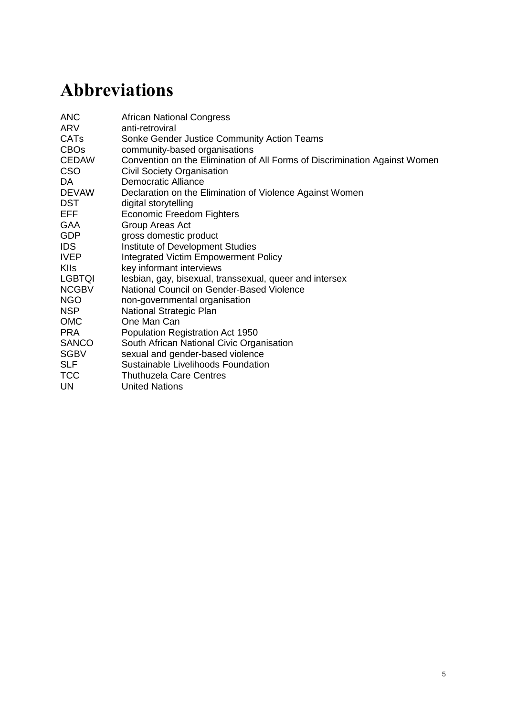Oetzel, J. and Duran, B. (2004) 'Intimate Partner Violence in American Indian and/or Alaska Native Communities: A Social Ecological Framework of Determinants and Interventions', *American Indian and Alaska Native Mental Health Research* 11: 49–68

Parry, K. and van Eaden, A. (2014) 'Measuring Racial Residential Segregation at Different Geographic Scales in Cape Town and Johannesburg', *South African Geographical Journal* 97.1: 31–49

Pearce, J. (2009) 'Introduction: Researching Democracy and Social Change with Violence in the Foreground', *IDS Bulletin* 40.3: 1–9

Piper, L. (2014) 'From Party-State to Party-Society in South Africa: SANCO and the Informal Politics of Community Representation in Imizamo Yethu, Hout Bay, Cape Town', in C. Bénit Gbaffou (ed), *Voice of the Poor in Urban Governance: Participation, Mobilisation and Politics in South African Cities*, Pretoria: HSRC Press (forthcoming)

Poletti, A. (2011) 'Coaxing an Intimate Public: Life Narrative in Digital Storytelling', *Continuum* 25: 73–83

Rankin, N.A. and Roberts, G. (2011) 'Youth Unemployment, Firm Size and Reservation Wages in South Africa', *South African Journal of Economics* 79: 128–45

Rubin, H. and Rubin, I. (1995) *Qualitative Interviewing: The Art of Hearing Data*, Thousand Oaks, CA: Sage

Seekings, J. and Nattrass, N. (2005) *Class, Race and Inequality in South Africa*, New Haven, CT: Yale University Press

Shahrokh, T. and Wheeler, J. (2014) *Knowledge from the Margins: An Anthology from a Global Network on Participatory Practice and Policy Influenc*e, Brighton: IDS

Sokoloff, N.J. and Dupont, I. (2005) 'Domestic Violence at the Intersections of Race, Class, and Gender: Challenges and Contributions to Understanding Violence against Marginalized Women in Diverse Communities', *Violence Against Women* 11: 38–64

Sonke (2014a) *National Strategic Plan Research Brief*, South Africa: Sonke Gender Justice

Sonke (2014b) '10 Reasons why South Africa Can and Must Spend R10 billion to End Gender-based Violence', press release, 8 March, www.genderjustice.org.za/news-item/10 reasons-why-south-africa-can-and-must-spend-r10-billion-to-end-gender-based-violencegbv/?option=com\_docman&task=doc\_download&gid=101865&Itemid=153 (accessed 23 February 2015)

South Africa (2012) *National Development Plan 2030: Our Future – Make it Work*, South Africa: National Planning Commission

Spaull, N. (2013) 'Poverty and Privilege: Primary School Inequality in South Africa', *International Journal of Educational Development* 33: 436–47

Statistics South Africa (n.d.) 'Quarterly Labour Force Survey (QLFS), 1st Quarter 2012', www.statssa.gov.za/publications/statsdownload.asp?PPN=P0211&SCH=5222 (accessed 26 January 2015)

Statistics South Africa (2014a) *Population Mid-Year Estimate, 2014,*  http://beta2.statssa.gov.za/ (accessed December 2014)